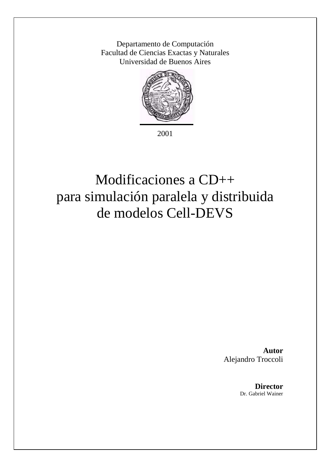Departamento de Computación Facultad de Ciencias Exactas y Naturales Universidad de Buenos Aires



2001

# Modificaciones a CD++ para simulación paralela y distribuida de modelos Cell-DEVS

**Autor** Alejandro Troccoli

> **Director**  Dr. Gabriel Wainer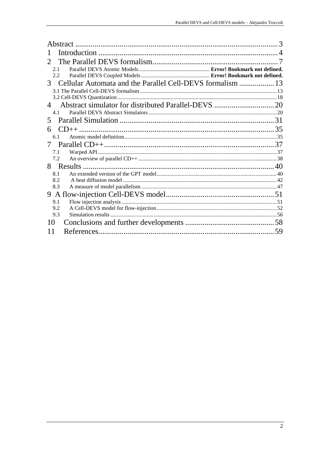| $\mathbf{I}$                                                    |  |
|-----------------------------------------------------------------|--|
|                                                                 |  |
| 2.1                                                             |  |
| $2.2^{\circ}$                                                   |  |
| Cellular Automata and the Parallel Cell-DEVS formalism  13<br>3 |  |
|                                                                 |  |
|                                                                 |  |
| $\overline{4}$                                                  |  |
| 4.1                                                             |  |
| 5                                                               |  |
| 6                                                               |  |
| 6.1                                                             |  |
|                                                                 |  |
| 7.1                                                             |  |
| 7.2                                                             |  |
|                                                                 |  |
| 8.1                                                             |  |
| 8.2                                                             |  |
| 8.3                                                             |  |
| 9                                                               |  |
| 9.1                                                             |  |
| 9.2                                                             |  |
| 9.3                                                             |  |
| 10                                                              |  |
| 11                                                              |  |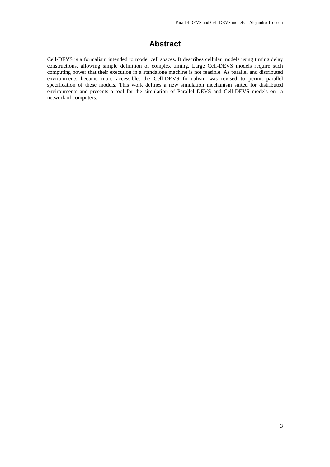# **Abstract**

Cell-DEVS is a formalism intended to model cell spaces. It describes cellular models using timing delay constructions, allowing simple definition of complex timing. Large Cell-DEVS models require such computing power that their execution in a standalone machine is not feasible. As parallel and distributed environments became more accessible, the Cell-DEVS formalism was revised to permit parallel specification of these models. This work defines a new simulation mechanism suited for distributed environments and presents a tool for the simulation of Parallel DEVS and Cell-DEVS models on a network of computers.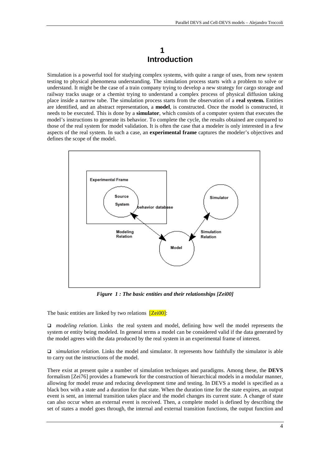# **1 Introduction**

Simulation is a powerful tool for studying complex systems, with quite a range of uses, from new system testing to physical phenomena understanding. The simulation process starts with a problem to solve or understand. It might be the case of a train company trying to develop a new strategy for cargo storage and railway tracks usage or a chemist trying to understand a complex process of physical diffusion taking place inside a narrow tube. The simulation process starts from the observation of a **real system.** Entities are identified, and an abstract representation, a **model**, is constructed. Once the model is constructed, it needs to be executed. This is done by a **simulator**, which consists of a computer system that executes the model's instructions to generate its behavior. To complete the cycle, the results obtained are compared to those of the real system for model validation. It is often the case that a modeler is only interested in a few aspects of the real system. In such a case, an **experimental frame** captures the modeler's objectives and defines the scope of the model.



*Figure 1 : The basic entities and their relationships [Zei00]*

The basic entities are linked by two relations [Zei00]:

□ *modeling relation*. Links the real system and model, defining how well the model represents the system or entity being modeled. In general terms a model can be considered valid if the data generated by the model agrees with the data produced by the real system in an experimental frame of interest.

 *simulation relation.* Links the model and simulator. It represents how faithfully the simulator is able to carry out the instructions of the model.

There exist at present quite a number of simulation techniques and paradigms. Among these, the **DEVS**  formalism [Zei76] provides a framework for the construction of hierarchical models in a modular manner, allowing for model reuse and reducing development time and testing. In DEVS a model is specified as a black box with a state and a duration for that state. When the duration time for the state expires, an output event is sent, an internal transition takes place and the model changes its current state. A change of state can also occur when an external event is received. Then, a complete model is defined by describing the set of states a model goes through, the internal and external transition functions, the output function and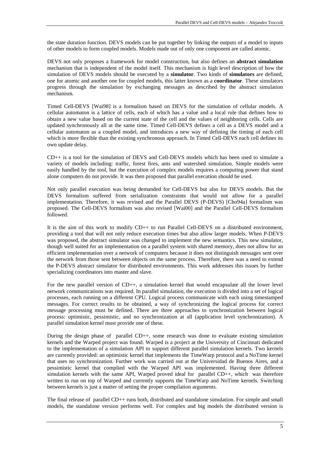the state duration function. DEVS models can be put together by linking the outputs of a model to inputs of other models to form coupled models. Models made out of only one component are called atomic.

DEVS not only proposes a framework for model construction, but also defines an **abstract simulation** mechanism that is independent of the model itself. This mechanism is high level description of how the simulation of DEVS models should be executed by a **simulator**. Two kinds of **simulators** are defined, one for atomic and another one for coupled models, this latter known as a **coordinator**. These simulators progress through the simulation by exchanging messages as described by the abstract simulation mechanism.

Timed Cell-DEVS [Wai98] is a formalism based on DEVS for the simulation of cellular models. A cellular automaton is a lattice of cells, each of which has a value and a local rule that defines how to obtain a new value based on the current state of the cell and the values of neighboring cells. Cells are updated synchronously all at the same time. Timed Cell-DEVS defines a cell as a DEVS model and a cellular automaton as a coupled model, and introduces a new way of defining the timing of each cell which is more flexible than the existing synchronous approach. In Timed Cell-DEVS each cell defines its own update delay.

CD++ is a tool for the simulation of DEVS and Cell-DEVS models which has been used to simulate a variety of models including: traffic, forest fires, ants and watershed simulation. Simple models were easily handled by the tool, but the execution of complex models requires a computing power that stand alone computers do not provide. It was then proposed that parallel execution should be used.

Not only parallel execution was being demanded for Cell-DEVS but also for DEVS models. But the DEVS formalism suffered from serialization constraints that would not allow for a parallel implementation. Therefore, it was revised and the Parallel DEVS (P-DEVS) [Cho94a] formalism was proposed. The Cell-DEVS formalism was also revised [Wai00] and the Parallel Cell-DEVS formalism followed.

It is the aim of this work to modify CD++ to run Parallel Cell-DEVS on a distributed environment, providing a tool that will not only reduce execution times but also allow larger models. When P-DEVS was proposed, the abstract simulator was changed to implement the new semantics. This new simulator, though well suited for an implementation on a parallel system with shared memory, does not allow for an efficient implementation over a network of computers because it does not distinguish messages sent over the network from those sent between objects on the same process. Therefore, there was a need to extend the P-DEVS abstract simulator for distributed environments. This work addresses this issues by further specializing coordinators into master and slave.

For the new parallel version of CD++, a simulation kernel that would encapsulate all the lower level network communications was required. In parallel simulation, the execution is divided into a set of logical processes, each running on a different CPU. Logical process communicate with each using timestamped messages. For correct results to be obtained, a way of synchronizing the logical process for correct message processing must be defined. There are three approaches to synchronization between logical process: optimistic, pessimistic, and no synchronization at all (application level synchronization). A parallel simulation kernel must provide one of these.

During the design phase of parallel CD++, some research was done to evaluate existing simulation kernels and the Warped project was found. Warped is a project at the University of Cincinnati dedicated to the implementation of a simulation API to support different parallel simulation kernels. Two kernels are currently provided: an optimistic kernel that implements the TimeWarp protocol and a NoTime kernel that uses no synchronization. Further work was carried out at the Universidad de Buenos Aires, and a pessimistic kernel that complied with the Warped API was implemented. Having three different simulation kernels with the same API, Warped proved ideal for parallel CD++, which was therefore written to run on top of Warped and currently supports the TimeWarp and NoTime kernels. Switching between kernels is just a matter of setting the proper compilation arguments.

The final release of parallel CD++ runs both, distributed and standalone simulation. For simple and small models, the standalone version performs well. For complex and big models the distributed version is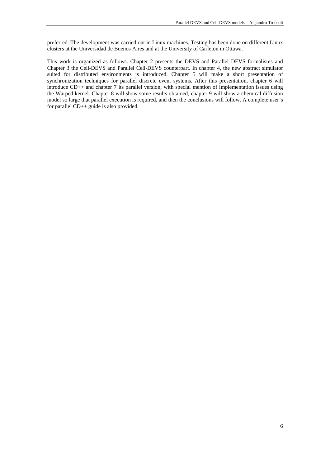preferred. The development was carried out in Linux machines. Testing has been done on different Linux clusters at the Universidad de Buenos Aires and at the University of Carleton in Ottawa.

This work is organized as follows. Chapter 2 presents the DEVS and Parallel DEVS formalisms and Chapter 3 the Cell-DEVS and Parallel Cell-DEVS counterpart. In chapter 4, the new abstract simulator suited for distributed environments is introduced. Chapter 5 will make a short presentation of synchronization techniques for parallel discrete event systems. After this presentation, chapter 6 will introduce CD++ and chapter 7 its parallel version, with special mention of implementation issues using the Warped kernel. Chapter 8 will show some results obtained, chapter 9 will show a chemical diffusion model so large that parallel execution is required, and then the conclusions will follow. A complete user's for parallel  $CD++$  guide is also provided.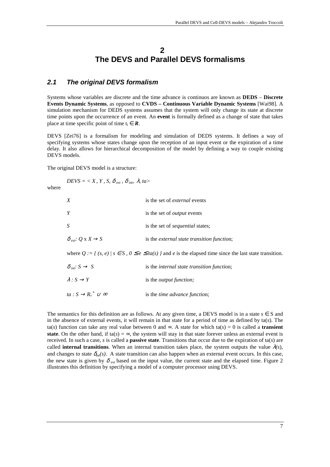# **2 The DEVS and Parallel DEVS formalisms**

## **2.1 The original DEVS formalism**

Systems whose variables are discrete and the time advance is continuos are known as **DEDS** – **Discrete Events Dynamic Systems**, as opposed to **CVDS – Continuous Variable Dynamic Systems** [Wai98]. A simulation mechanism for DEDS systems assumes that the system will only change its state at discrete time points upon the occurrence of an event. An **event** is formally defined as a change of state that takes place at time specific point of time  $t_i \in \mathbf{R}$ .

DEVS [Zei76] is a formalism for modeling and simulation of DEDS systems. It defines a way of specifying systems whose states change upon the reception of an input event or the expiration of a time delay. It also allows for hierarchical decomposition of the model by defining a way to couple existing DEVS models.

The original DEVS model is a structure:

where

| $DEVS = \langle X, Y, S, \delta_{ext}, \delta_{int} \lambda, ta \rangle$ |  |  |  |
|--------------------------------------------------------------------------|--|--|--|
|                                                                          |  |  |  |

| X                                               | is the set of <i>external</i> events                                                          |
|-------------------------------------------------|-----------------------------------------------------------------------------------------------|
| Υ                                               | is the set of <i>output</i> events                                                            |
| S                                               | is the set of <i>sequential</i> states;                                                       |
| $\delta_{\text{ext}}: O \times X \rightarrow S$ | is the <i>external state transition function</i> ;                                            |
|                                                 | where $Q := \{ (s, e) \mid s \in S, 0 \le e \le ta(s) \}$ and e is the elapsed time since the |
|                                                 |                                                                                               |

| $\delta_{int}: S \to S$                | is the <i>internal state transition function</i> ; |
|----------------------------------------|----------------------------------------------------|
| $\lambda: S \to Y$                     | is the <i>output function</i> ;                    |
| ta : $S \rightarrow R_0^+ \cup \infty$ | is the <i>time advance function</i> ;              |

The semantics for this definition are as follows. At any given time, a DEVS model is in a state  $s \in S$  and in the absence of external events, it will remain in that state for a period of time as defined by ta(*s*). The ta(s) function can take any real value between 0 and  $\infty$ . A state for which ta(s) = 0 is called a **transient state**. On the other hand, if ta( $s$ ) =  $\infty$ , the system will stay in that state forever unless an external event is received. In such a case, *s* is called a **passive state**. Transitions that occur due to the expiration of ta(*s*) are called **internal transitions**. When an internal transition takes place, the system outputs the value  $\lambda(s)$ , and changes to state  $\delta_{in}(s)$ . A state transition can also happen when an external event occurs. In this case, the new state is given by  $\delta_{ext}$  based on the input value, the current state and the elapsed time. Figure 2 illustrates this definition by specifying a model of a computer processor using DEVS.

last state *transition*.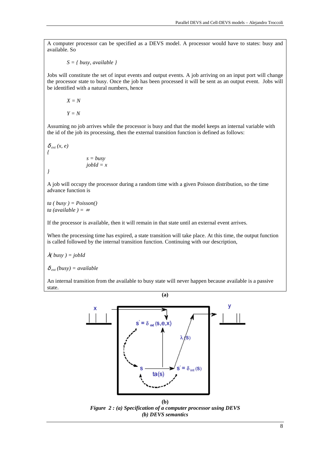A computer processor can be specified as a DEVS model. A processor would have to states: busy and available. So

*S = { busy, available }* 

Jobs will constitute the set of input events and output events. A job arriving on an input port will change the processor state to busy. Once the job has been processed it will be sent as an output event. Jobs will be identified with a natural numbers, hence

$$
X = N
$$

$$
Y = N
$$

Assuming no job arrives while the processor is busy and that the model keeps an internal variable with the id of the job its processing, then the external transition function is defined as follows:

$$
\delta_{ext}(x, e)
$$
  
{  

$$
s = busy
$$
  

$$
jobId = x
$$

A job will occupy the processor during a random time with a given Poisson distribution, so the time advance function is

*ta ( busy ) = Poisson() ta (available ) =* <sup>∞</sup>

If the processor is available, then it will remain in that state until an external event arrives.

When the processing time has expired, a state transition will take place. At this time, the output function is called followed by the internal transition function. Continuing with our description,

λ*( busy ) = jobId* 

 $\delta_{ext}$ *(busy)* = *available* 

An internal transition from the available to busy state will never happen because available is a passive state.



*Figure 2 : (a) Specification of a computer processor using DEVS (b) DEVS semantics*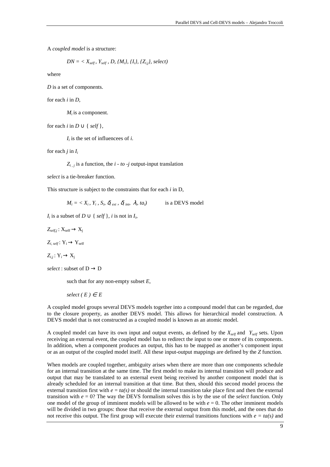A *coupled model* is a structure:

$$
DN = \langle X_{self}, Y_{self}, D, \{M_i\}, \{I_i\}, \{Z_{i,j}\}, select \rangle
$$

where

*D* is a set of components.

for each *i* in *D,*

 $M_i$  is a component.

for each *i* in  $D \cup \{$  self  $\}$ ,

*Ii* is the set of influencees of *i*.

for each *j* in *I<sup>i</sup>*

 $Z_{i,j}$  is a function, the *i - to -j* output-input translation

*select* is a tie-breaker function.

This structure is subject to the constraints that for each *i* in D,

 $M_i = \langle X_i, Y_i, S_i, \delta_i \rangle_{ext}, \delta_i \rangle_{int}$ *is a DEVS model* 

*I*<sub>i</sub> is a subset of  $D \cup \{ \text{ self } \}$ , *i* is not in  $I_i$ 

 $Z_{self,i}: X_{self} \rightarrow X_i$ 

 $Z_{i, self} : Y_i \rightarrow Y_{self}$ 

$$
Z_{i,j} \colon Y_i \to X_j
$$

*select* : subset of  $D \rightarrow D$ 

such that for any non-empty subset *E*,

 $select(E) \in E$ 

A coupled model groups several DEVS models together into a compound model that can be regarded, due to the closure property, as another DEVS model. This allows for hierarchical model construction. A DEVS model that is not constructed as a coupled model is known as an atomic model.

A coupled model can have its own input and output events, as defined by the *Xself* and *Yself* sets. Upon receiving an external event, the coupled model has to redirect the input to one or more of its components. In addition, when a component produces an output, this has to be mapped as another's component input or as an output of the coupled model itself. All these input-output mappings are defined by the *Z* function.

When models are coupled together, ambiguity arises when there are more than one components schedule for an internal transition at the same time. The first model to make its internal transition will produce and output that may be translated to an external event being received by another component model that is already scheduled for an internal transition at that time. But then, should this second model process the external transition first with  $e = ta(s)$  or should the internal transition take place first and then the external transition with  $e = 0$ ? The way the DEVS formalism solves this is by the use of the *select* function. Only one model of the group of imminent models will be allowed to be with  $e = 0$ . The other imminent models will be divided in two groups: those that receive the external output from this model, and the ones that do not receive this output. The first group will execute their external transitions functions with  $e = ta(s)$  and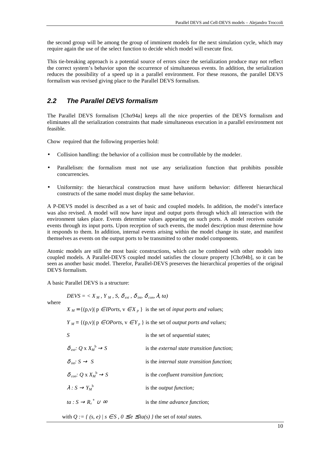the second group will be among the group of imminent models for the next simulation cycle, which may require again the use of the select function to decide which model will execute first.

This tie-breaking approach is a potential source of errors since the serialization produce may not reflect the correct system's behavior upon the occurrence of simultaneous events. In addition, the serialization reduces the possibility of a speed up in a parallel environment. For these reasons, the parallel DEVS formalism was revised giving place to the Parallel DEVS formalism.

## **2.2 The Parallel DEVS formalism**

The Parallel DEVS formalism [Cho94a] keeps all the nice properties of the DEVS formalism and eliminates all the serialization constraints that made simultaneous execution in a parallel environment not feasible.

Chow required that the following properties hold:

- Collision handling: the behavior of a collision must be controllable by the modeler.
- Parallelism: the formalism must not use any serialization function that prohibits possible concurrencies.
- Uniformity: the hierarchical construction must have uniform behavior: different hierarchical constructs of the same model must display the same behavior.

A P-DEVS model is described as a set of basic and coupled models. In addition, the model's interface was also revised. A model will now have input and output ports through which all interaction with the environment takes place. Events determine values appearing on such ports. A model receives outside events through its input ports. Upon reception of such events, the model description must determine how it responds to them. In addition, internal events arising within the model change its state, and manifest themselves as events on the output ports to be transmitted to other model components.

Atomic models are still the most basic constructions, which can be combined with other models into coupled models. A Parallel-DEVS coupled model satisfies the closure property [Cho94b], so it can be seen as another basic model. Therefor, Parallel-DEVS preserves the hierarchical properties of the original DEVS formalism.

A basic Parallel DEVS is a structure:

 $DEVS = \langle X_M, Y_M, S, \delta_{ext}, \delta_{int}, \delta_{cont}, \lambda_{int}$ where  $X_M = \{(p,v) | p \in$  *IPorts*,  $v \in X_p\}$  is the set of *input ports and values*;  $Y_M = \{(p,v) | p \in \text{OPorts}, v \in Y_p \}$  is the set of *output ports and values*; *S* is the set of *sequential* states;  $\delta_{\alpha}$ *i*:  $O \times X_M^b \rightarrow S$ is the *external state transition function*;  $\delta_{int}: S \to S$  is the *internal state transition function*;  $\delta$ <sub>con</sub>:  $Q \times X_M^b \rightarrow S$ is the *confluent transition function*;  $\lambda : S \rightarrow Y_M^{\text{b}}$  is the *output function;*   $ta: S \rightarrow R_0^+ \cup \infty$ is the *time advance function*;

with  $Q := \{ (s, e) \mid s \in S, 0 \le e \le ta(s) \}$  the set of *total states*.

10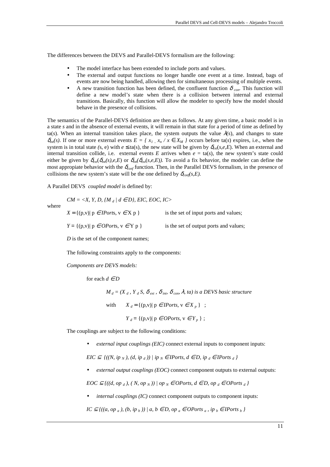The differences between the DEVS and Parallel-DEVS formalism are the following:

- The model interface has been extended to include ports and values.
- The external and output functions no longer handle one event at a time. Instead, bags of events are now being handled, allowing then for simultaneous processing of multiple events.
- A new transition function has been defined, the confluent function  $\delta_{\text{con}}$ . This function will define a new model's state when there is a collision between internal and external transitions. Basically, this function will allow the modeler to specify how the model should behave in the presence of collisions.

The semantics of the Parallel-DEVS definition are then as follows. At any given time, a basic model is in a state *s* and in the absence of external events, it will remain in that state for a period of time as defined by ta(s). When an internal transition takes place, the system outputs the value  $\lambda(s)$ , and changes to state  $\delta_{in}(s)$ . If one or more external events  $E = \{x_1, x_n \mid x \in X_M\}$  occurs before ta(s) expires, i.e., when the system is in total state  $(s, e)$  with  $e \leq ta(s)$ , the new state will be given by  $\delta_{ext}(s, e, E)$ . When an external and internal transition collide, i.e. external events  $E$  arrives when  $e = \text{ta}(s)$ , the new system's state could either be given by  $\delta_{ext}(\delta_{int}(s), e, E)$  or  $\delta_{int}(\delta_{ext}(s, e, E))$ . To avoid a fix behavior, the modeler can define the most appropiate behavior with the  $\delta_{\text{conf}}$  function. Then, in the Parallel DEVS formalism, in the presence of collisions the new system's state will be the one defined by  $\delta_{\text{conf}}(s, E)$ .

A Parallel DEVS *coupled model* is defined by:

where

*CM* = <*X*, *Y*, *D*, *{M*<sub>*d</sub> | d* ∈ *D}*, *EIC*, *EOC*, *IC*></sub>  $X = \{(p,v) | p \in \text{IPorts}, v \in X \mid p \}$  is the set of input ports and values;  $Y = \{(p,v) | p \in \text{OPorts}, v \in Y \mid p \}$  is the set of output ports and values;

*D* is the set of the component names;

The following constraints apply to the components:

*Components are DEVS models:* 

for each  $d \in D$ 

 $M_d = (X_d, Y_d, S, \delta_{ext}, \delta_{int}, \delta_{cont}, \lambda, ta)$  is a DEVS basic structure

with  $X_d = \{(p,v) | p \in \text{IPorts}, v \in X_p \}$ ;

$$
Y_d = \{ (p,v) | p \in \text{OPorts}, v \in Y_p \};
$$

The couplings are subject to the following conditions:

• *external input couplings (EIC)* connect external inputs to component inputs:

*EIC*  $\subseteq$  {((N, ip<sub>N</sub></sub>), (d, ip<sub>d</sub>)) | ip<sub>N</sub>  $\in$  *IPorts, d*  $\in$  *D, ip<sub>d</sub>*  $\in$  *IPorts*<sub>d</sub>}

• *external output couplings (EOC)* connect component outputs to external outputs:

*EOC* ⊆ {((d, op *d*), (N, op *N*)) | op *N* ∈ *OPorts*,  $d \text{ ∈ } D$ , op  $d \text{ ∈ } O$ *Ports*  $d$  }

*internal couplings (IC)* connect component outputs to component inputs:

*IC* ⊆ {((a, op <sup>*a*</sup>), (b, ip <sup>*b*</sup>)) | a, b ∈ *D*, op  $a$  ∈ *OPorts*  $a$ , ip  $b$  ∈ *IPorts*  $b$  }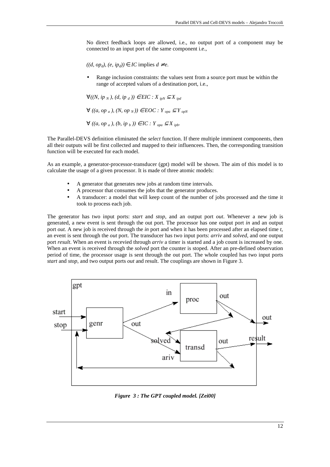No direct feedback loops are allowed, i.e., no output port of a component may be connected to an input port of the same component i.e.,

 $((d, op<sub>d</sub>), (e, ip<sub>d</sub>)) ∈ IC$  implies  $d ≠ e$ .

• Range inclusion constraints: the values sent from a source port must be within the range of accepted values of a destination port, i.e.,

$$
\forall ((N, ip_N), (d, ip_d)) \in EIC : X_{ipN} \subseteq X_{ipd}
$$

$$
\forall ((a, op_a), (N, op_N)) \in EOC : Y_{opa} \subseteq Y_{opN}
$$

$$
\forall ((a, op_a), (b, ip_b)) \in IC : Y_{opa} \subseteq X_{ipb}.
$$

The Parallel-DEVS definition eliminated the *select* function. If there multiple imminent components, then all their outputs will be first collected and mapped to their influencees. Then, the corresponding transition function will be executed for each model.

As an example, a generator-processor-transducer (gpt) model will be shown. The aim of this model is to calculate the usage of a given processor. It is made of three atomic models:

- A generator that generates new jobs at random time intervals.
- A processor that consumes the jobs that the generator produces.
- A transducer: a model that will keep count of the number of jobs processed and the time it took to process each job.

The generator has two input ports: *start* and *stop*, and an output port *out*. Whenever a new job is generated, a new event is sent through the out port. The processor has one output port *in* and an output port *out.* A new job is received through the *in* port and when it has been processed after an elapsed time *t*, an event is sent through the *out* port. The transducer has two input ports: *arriv* and *solved*, and one output port *result*. When an event is recevied through *arriv* a timer is started and a job count is increased by one. When an event is received through the *solved* port the counter is stoped. After an pre-defined observation period of time, the processor usage is sent through the out port. The whole coupled has two input ports *start* and *stop*, and two output ports *out* and result. The couplings are shown in Figure 3.



*Figure 3 : The GPT coupled model. [Zei00]*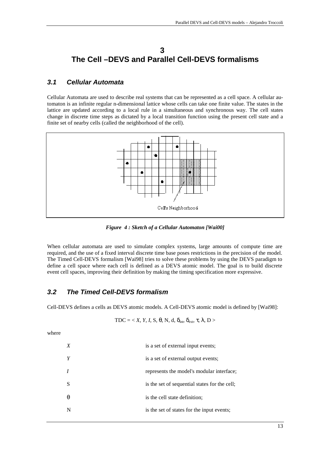# **3 The Cell –DEVS and Parallel Cell-DEVS formalisms**

# **3.1 Cellular Automata**

Cellular Automata are used to describe real systems that can be represented as a cell space. A cellular automaton is an infinite regular n-dimensional lattice whose cells can take one finite value. The states in the lattice are updated according to a local rule in a simultaneous and synchronous way. The cell states change in discrete time steps as dictated by a local transition function using the present cell state and a finite set of nearby cells (called the neighborhood of the cell).



*Figure 4 : Sketch of a Cellular Automaton [Wai00]* 

When cellular automata are used to simulate complex systems, large amounts of compute time are required, and the use of a fixed interval discrete time base poses restrictions in the precision of the model. The Timed Cell-DEVS formalism [Wai98] tries to solve these problems by using the DEVS paradigm to define a cell space where each cell is defined as a DEVS atomic model. The goal is to build discrete event cell spaces, improving their definition by making the timing specification more expressive.

# **3.2 The Timed Cell-DEVS formalism**

Cell-DEVS defines a cells as DEVS atomic models. A Cell-DEVS atomic model is defined by [Wai98]:

$$
TDC = \langle X, Y, I, S, \theta, N, d, \delta_{\text{int}}, \delta_{\text{ext}}, \tau, \lambda, D \rangle
$$

where

|   | is a set of external input events;            |
|---|-----------------------------------------------|
|   | is a set of external output events;           |
|   | represents the model's modular interface;     |
|   | is the set of sequential states for the cell; |
| θ | is the cell state definition;                 |
|   | is the set of states for the input events;    |
|   |                                               |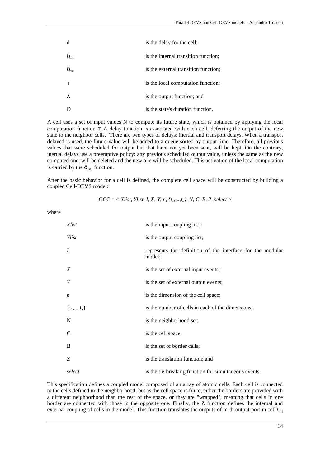|                    | is the delay for the cell;           |
|--------------------|--------------------------------------|
| $\delta_{\rm int}$ | is the internal transition function; |
| $\delta_{\rm ext}$ | is the external transition function; |
| τ                  | is the local computation function;   |
|                    | is the output function; and          |
|                    | is the state's duration function.    |

A cell uses a set of input values N to compute its future state, which is obtained by applying the local computation function τ. A delay function is associated with each cell, deferring the output of the new state to the neighbor cells. There are two types of delays: inertial and transport delays. When a transport delayed is used, the future value will be added to a queue sorted by output time. Therefore, all previous values that were scheduled for output but that have not yet been sent, will be kept. On the contrary, inertial delays use a preemptive policy: any previous scheduled output value, unless the same as the new computed one, will be deleted and the new one will be scheduled. This activation of the local computation is carried by the  $\delta_{ext}$  function.

After the basic behavior for a cell is defined, the complete cell space will be constructed by building a coupled Cell-DEVS model:

$$
GCC = \langle Xlist, Ylist, I, X, Y, n, \{t_1, \ldots, t_n\}, N, C, B, Z, select \rangle
$$

where

| <b>Xlist</b>     | is the input coupling list;                                          |
|------------------|----------------------------------------------------------------------|
| <i>Ylist</i>     | is the output coupling list;                                         |
| $\boldsymbol{I}$ | represents the definition of the interface for the modular<br>model; |
| X                | is the set of external input events;                                 |
| Y                | is the set of external output events;                                |
| $\boldsymbol{n}$ | is the dimension of the cell space;                                  |
| $\{t_1,,t_n\}$   | is the number of cells in each of the dimensions;                    |
| N                | is the neighborhood set;                                             |
| $\mathsf{C}$     | is the cell space;                                                   |
| B                | is the set of border cells;                                          |
| Z                | is the translation function; and                                     |
| select           | is the tie-breaking function for simultaneous events.                |

This specification defines a coupled model composed of an array of atomic cells. Each cell is connected to the cells defined in the neighborhood, but as the cell space is finite, either the borders are provided with a different neighborhood than the rest of the space, or they are "wrapped", meaning that cells in one border are connected with those in the opposite one. Finally, the Z function defines the internal and external coupling of cells in the model. This function translates the outputs of m-th output port in cell  $C_{ii}$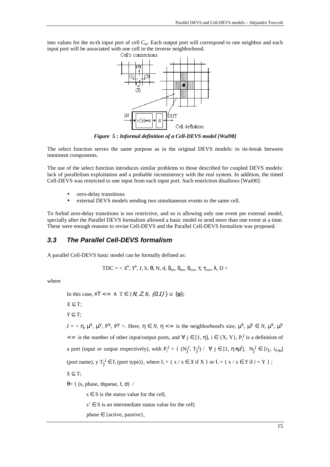into values for the m-th input port of cell C<sub>kl</sub>. Each output port will correspond to one neighbor and each input port will be associated with one cell in the inverse neighborhood.



*Figure 5 : Informal definition of a Cell-DEVS model [Wai98]*

The select function serves the same purpose as in the original DEVS models: to tie-break between imminent components.

The use of the select function introduces similar problems to those described for coupled DEVS models: lack of parallelism exploitation and a probable inconsistency with the real system. In addition, the timed Cell-DEVS was restricted to one input from each input port. Such restriction disallows [Wai00]:

- zero-delay transitions
- external DEVS models sending two simultaneous events to the same cell.

To forbid zero-delay transitions is too restrictive, and so is allowing only one event per external model, specially after the Parallel DEVS formalism allowed a basic model to send more than one event at a time. These were enough reasons to revise Cell-DEVS and the Parallel Cell-DEVS formalism was proposed.

## **3.3 The Parallel Cell-DEVS formalism**

A parallel Cell-DEVS basic model can be formally defined as:

$$
TDC=<\textit{\textbf{X}}^{b},\textit{\textbf{Y}}^{b},\textit{\textbf{I}},\textit{\textbf{S}},\theta,\textit{\textbf{N}},\textit{\textbf{d}},\delta_{int},\delta_{ext},\delta_{con},\tau,\tau_{con},\lambda,\textit{\textbf{D}}>
$$

where

In this case,  $\#T < \infty \land T \in \{N, Z, R, \{0,1\}\} \cup \{\phi\};$  $X \subset T$ :  $Y \subset T$ :  $I = \langle \eta, \mu^X, \mu^Y, P^X, P^Y \rangle$ . Here,  $\eta \in N$ ,  $\eta \langle \infty \rangle$  is the neighborhood's size,  $\mu^X, \mu^Y \in N$ ,  $\mu^X, \mu^Y$  $\langle \infty \rangle$  is the number of other input/output ports, and  $\forall j \in [1, \eta]$ ,  $i \in \{X, Y\}$ ,  $P_j^i$  is a definition of a port (input or output respectively), with  $P_j^i = \{ (N_j^i, T_j^i) / \forall j \in [1, \eta + \mu^i], N_j^i \in [i_1, i_{\eta + \mu}] \}$ (port name),  $y T_j^i \in I_i$  (port type)}, where  $I_i = \{ x \mid x \in X \text{ if } X \}$  or  $I_i = \{ x \mid x \in Y \text{ if } i = Y \}$ ;  $S \subset T$ : θ= { (s, phase, σqueue, f, σ) /

 $s \in S$  is the status value for the cell,  $s' \in S$  is an intermediate status value for the cell;

 $phase \in \{active, passive\},\$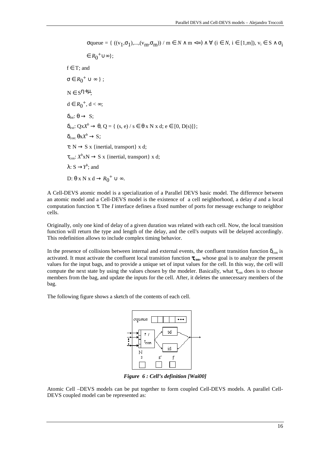$\sigma$ queue = {  $((v_1, \sigma_1), ..., (v_m, \sigma_m)) / m \in N \land m \ll \infty$ }  $\land \forall$  (i  $\in N$ , i  $\in [1, m]$ ),  $v_i \in S \land \sigma_i$  $\in R_0^+$ ∪∞};  $f \in T$ ; and  $\sigma \in R_0^+ \cup \infty$  };  $N \in S^{n+\mu}$ :  $d \in R_0^+, d < \infty;$  $\delta_{\rm int}: \theta \to S;$  $\delta_{ext}$ :  $QxX^b \rightarrow \theta$ ,  $Q = \{ (s, e) / s \in \theta x N x d; e \in [0, D(s)] \};$  $δ<sub>con</sub>: θxX<sup>b</sup> → S;$  τ: N → S x {inertial, transport} x d;  $\tau_{\text{con}}$ :  $X^b$ xN  $\rightarrow$  S x {inertial, transport} x d;  $\lambda$ : S  $\rightarrow$ *Y*<sup>*b*</sup>; and D: θ x N x d →  $R_0^+$  ∪ ∞.

A Cell-DEVS atomic model is a specialization of a Parallel DEVS basic model. The difference between an atomic model and a Cell-DEVS model is the existence of a cell neighborhood*,* a delay *d* and a local computation function τ. The *I* interface defines a fixed number of ports for message exchange to neighbor cells.

Originally, only one kind of delay of a given duration was related with each cell. Now, the local transition function will return the type and length of the delay, and the cell's outputs will be delayed accordingly. This redefinition allows to include complex timing behavior.

In the presence of collisions between internal and external events, the confluent transition function  $\delta_{\rm con}$  is activated. It must activate the confluent local transition function τ**con**, whose goal is to analyze the present values for the input bags, and to provide a unique set of input values for the cell. In this way, the cell will compute the next state by using the values chosen by the modeler. Basically, what  $\tau_{con}$  does is to choose members from the bag, and update the inputs for the cell. After, it deletes the unnecessary members of the bag.

The following figure shows a sketch of the contents of each cell.



*Figure 6 : Cell's definition [Wai00]*

Atomic Cell –DEVS models can be put together to form coupled Cell-DEVS models. A parallel Cell-DEVS coupled model can be represented as: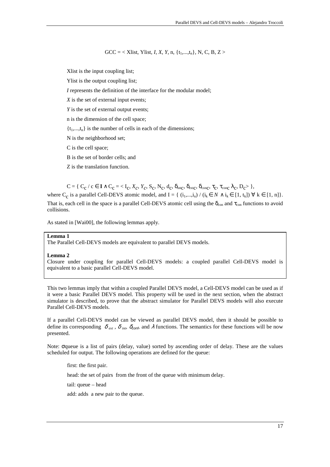$GCC = \langle Xlist, Ylist, I, X, Y, n, \{t_1, \ldots, t_n\}, N, C, B, Z \rangle$ 

Xlist is the input coupling list;

Ylist is the output coupling list;

*I* represents the definition of the interface for the modular model;

*X* is the set of external input events;

*Y* is the set of external output events;

n is the dimension of the cell space;

 $\{t_1,...,t_n\}$  is the number of cells in each of the dimensions;

N is the neighborhood set;

C is the cell space;

B is the set of border cells; and

Z is the translation function.

 $C = \{ C_C / c \in I \wedge C_C = \langle I_C, X_C, Y_C, S_C, N_C, d_C, \delta_{\text{int}_C}, \delta_{\text{ext}_C}, \delta_{\text{con}_C}, \tau_C, \tau_{\text{con}_C} \lambda_C, D_C \rangle \},$ 

where C<sub>C</sub> is a parallel Cell-DEVS atomic model, and I = {  $(i_1,...,i_n) / (i_k \in N \land i_k \in [1, t_k]) \forall k \in [1, n]$  }. That is, each cell in the space is a parallel Cell-DEVS atomic cell using the  $\delta_{con}$  and  $\tau_{con}$  functions to avoid collisions.

As stated in [Wai00], the following lemmas apply.

#### **Lemma 1**

The Parallel Cell-DEVS models are equivalent to parallel DEVS models.

#### **Lemma 2**

Closure under coupling for parallel Cell-DEVS models: a coupled parallel Cell-DEVS model is equivalent to a basic parallel Cell-DEVS model.

This two lemmas imply that within a coupled Parallel DEVS model, a Cell-DEVS model can be used as if it were a basic Parallel DEVS model. This property will be used in the next section, when the abstract simulator is described, to prove that the abstract simulator for Parallel DEVS models will also execute Parallel Cell-DEVS models.

If a parallel Cell-DEVS model can be viewed as parallel DEVS model, then it should be possible to define its corresponding  $\delta_{ext}$ ,  $\delta_{int}$ ,  $\delta_{cont}$ , and  $\lambda$  functions. The semantics for these functions will be now presented.

Note: σqueue is a list of pairs (delay, value) sorted by ascending order of delay. These are the values scheduled for output. The following operations are defined for the queue:

first: the first pair.

head: the set of pairs from the front of the queue with minimum delay.

tail: queue – head

add: adds a new pair to the queue.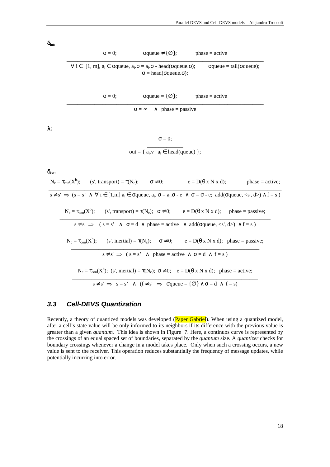δ**int:**

λ:

| $\sigma = 0$ ; | $\sigma$ queue $\neq \{\emptyset\};$                                                                                                                                        | $phase = active$                        |
|----------------|-----------------------------------------------------------------------------------------------------------------------------------------------------------------------------|-----------------------------------------|
|                | $\forall$ i $\in$ [1, m], $a_i \in \sigma$ queue, $a_i \cdot \sigma = a_i \cdot \sigma$ - head( $\sigma$ queue. $\sigma$ );<br>$\sigma$ = head( $\sigma$ queue. $\sigma$ ); | $\sigma$ queue = tail( $\sigma$ queue); |
| $\sigma = 0$ ; | $\sigma$ queue = { $\varnothing$ };                                                                                                                                         | $phase = active$                        |
|                | $\sigma = \infty$ $\wedge$ phase = passive                                                                                                                                  |                                         |
|                |                                                                                                                                                                             |                                         |
|                | $\sigma = 0$ ;                                                                                                                                                              |                                         |
|                | out = { $a_i.v \mid a_i \in head(queue)$ };                                                                                                                                 |                                         |

δ**ext:**  $N_c = \tau_{con}(X^b);$  (s', transport) =  $\tau(N_c);$   $\sigma \neq 0;$  e =  $D(\theta \times N \times d);$  phase = active; \_\_\_\_\_\_\_\_\_\_\_\_\_\_\_\_\_\_\_\_\_\_\_\_\_\_\_\_\_\_\_\_\_\_\_\_\_\_\_\_\_\_\_\_\_\_\_\_\_\_\_\_\_\_\_\_\_\_\_\_\_\_\_\_\_\_\_\_\_\_\_\_\_\_\_\_\_\_\_\_\_\_\_\_  $s \neq s' \implies (s = s' \land \forall i \in [1,m] \ a_i \in \text{ oqueue}, \ a_i \cdot \sigma = a_i \cdot \sigma \cdot e \land \sigma = \sigma \cdot e; \ \text{ add}(\sigma \text{ queue}, \langle s', d \rangle) \land f = s)$  $N_c = \tau_{con}(X^b);$  (s', transport) =  $\tau(N_c); \sigma \neq 0;$  e =  $D(\theta \times N \times d);$  phase = passive; \_\_\_\_\_\_\_\_\_\_\_\_\_\_\_\_\_\_\_\_\_\_\_\_\_\_\_\_\_\_\_\_\_\_\_\_\_\_\_\_\_\_\_\_\_\_\_\_\_\_\_\_\_\_\_\_\_\_\_\_\_\_\_\_\_\_\_\_\_\_\_\_\_\_\_\_  $s \neq s' \implies (s = s' \land \sigma = d \land phase = active \land add(\sigma queue, \langle s', d \rangle) \land f = s)$  $N_c = \tau_{con}(X^b);$  (s', inertial) =  $\tau(N_c);$   $\sigma \neq 0;$  e =  $D(\theta \times N \times d);$  phase = passive; \_\_\_\_\_\_\_\_\_\_\_\_\_\_\_\_\_\_\_\_\_\_\_\_\_\_\_\_\_\_\_\_\_\_\_\_\_\_\_\_\_\_\_\_\_\_\_\_\_\_\_\_\_\_\_\_\_\_\_\_\_\_\_\_\_\_\_\_  $s \neq s' \implies (s = s' \land \text{phase} = \text{active} \land \sigma = d \land f = s)$  $N_c = \tau_{con}(X^b)$ ; (s', inertial) =  $\tau(N_c)$ ;  $\sigma \neq 0$ ; e =  $D(\theta \times N \times d)$ ; phase = active; \_\_\_\_\_\_\_\_\_\_\_\_\_\_\_\_\_\_\_\_\_\_\_\_\_\_\_\_\_\_\_\_\_\_\_\_\_\_\_\_\_\_\_\_\_\_\_\_\_\_\_\_\_\_\_\_\_\_\_\_\_\_\_\_\_\_\_  $s \neq s' \implies s = s' \land (f \neq s' \implies \sigma$ queue = { $\varnothing$ }  $\land \sigma = d \land f = s$ }

## **3.3 Cell-DEVS Quantization**

Recently, a theory of quantized models was developed (Paper Gabriel). When using a quantized model, after a cell's state value will be only informed to its neighbors if its difference with the previous value is greater than a given *quantum.* This idea is shown in Figure 7. Here, a continuos curve is represented by the crossings of an equal spaced set of boundaries, separated by the *quantum* size. A *quantizer* checks for boundary crossings whenever a change in a model takes place. Only when such a crossing occurs, a new value is sent to the receiver. This operation reduces substantially the frequency of message updates, while potentially incurring into error.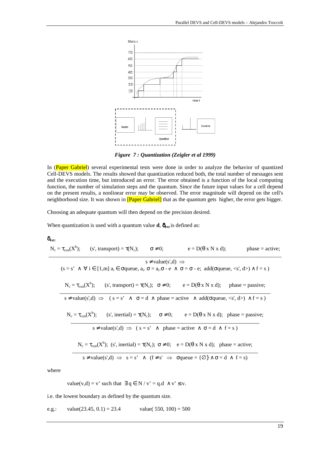

*Figure 7 : Quantization (Zeigler et al 1999)*

In (Paper Gabriel) several experimental tests were done in order to analyze the behavior of quantized Cell-DEVS models. The results showed that quantization reduced both, the total number of messages sent and the execution time, but introduced an error. The error obtained is a function of the local computing function, the number of simulation steps and the quantum. Since the future input values for a cell depend on the present results, a nonlinear error may be observed. The error magnitude will depend on the cell's neighborhood size. It was shown in [Paper Gabriel] that as the quantum gets higher, the error gets bigger.

Choosing an adequate quantum will then depend on the precision desired.

When quantization is used with a quantum value  $d$ ,  $\delta_{ext}$  is defined as:

$$
\delta_{ext:}
$$
\nN<sub>c</sub> = τ<sub>con</sub>(X<sup>b</sup>); (s', transport) = τ(N<sub>c</sub>); σ ≠ 0; e = D(θ x N x d); phase = active;  
\n(s = s' ∧ ∀ i ∈ [1,m] a<sub>i</sub> ∈ \sigmaqueue, a<sub>i</sub>, σ = a<sub>i</sub>, σ - e ∧ σ = σ - e; add(σqueue, \nN<sub>c</sub> = τ<sub>con</sub>(X<sup>b</sup>); (s', transport) = τ(N<sub>c</sub>); σ ≠ 0; e = D(θ x N x d); phase = passive;  
\ns ≠ value(s', d) ⇒ (s = s' ∧ σ = d ∧ phase = active ∧ add(σqueue, \nN<sub>c</sub> = τ<sub>con</sub>(X<sup>b</sup>); (s', inertial) = τ(N<sub>c</sub>); σ ≠ 0; e = D(θ x N x d); phase = passive;  
\ns ≠ value(s', d) ⇒ (s = s' ∧ phase = active ∧ σ = d ∧ f = s)  
\nN<sub>c</sub> = τ<sub>con</sub>(X<sup>b</sup>); (s', inertial) = τ(N<sub>c</sub>); σ ≠ 0; e = D(θ x N x d); phase = active;  
\ns ≠ value(s', d) ⇒ s = s' ∧ (f ≠ s' ⇒ σqueue = {Ø} ∧ σ = d ∧ f = s)

where

value(v,d) = v' such that 
$$
\exists q \in N / v' = q.d \land v' \leq v
$$
.

i.e. the lowest boundary as defined by the quantum size.

e.g.: value(23.45, 0.1) = 23.4 value( 550, 100) = 500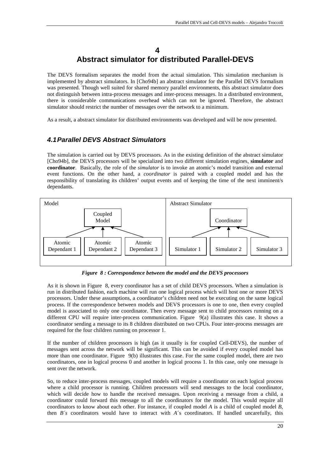# **4 Abstract simulator for distributed Parallel-DEVS**

The DEVS formalism separates the model from the actual simulation. This simulation mechanism is implemented by abstract simulators. In [Cho94b] an abstract simulator for the Parallel DEVS formalism was presented. Though well suited for shared memory parallel environments, this abstract simulator does not distinguish between intra-process messages and inter-process messages. In a distributed environment, there is considerable communications overhead which can not be ignored. Therefore, the abstract simulator should restrict the number of messages over the network to a minimum.

As a result, a abstract simulator for distributed environments was developed and will be now presented.

## **4.1 Parallel DEVS Abstract Simulators**

The simulation is carried out by DEVS processors. As in the existing definition of the abstract simulator [Cho94b], the DEVS processors will be specialized into two different simulation engines, **simulator** and **coordinator***.* Basically, the role of the *simulator* is to invoke an atomic's model transition and external event functions. On the other hand, a *coordinator* is paired with a coupled model and has the responsibility of translating its children' output events and of keeping the time of the next imminent/s dependants.



*Figure 8 : Correspondence between the model and the DEVS processors* 

As it is shown in Figure 8, every coordinator has a set of child DEVS processors. When a simulation is run in distributed fashion, each machine will run one logical process which will host one or more DEVS processors. Under these assumptions, a coordinator's children need not be executing on the same logical process. If the correspondence between models and DEVS processors is one to one, then every coupled model is associated to only one coordinator. Then every message sent to child processors running on a different CPU will require inter-process communication. Figure 9(a) illustrates this case. It shows a coordinator sending a message to its 8 children distributed on two CPUs. Four inter-process messages are required for the four children running on processor 1.

If the number of children processors is high (as it usually is for coupled Cell-DEVS), the number of messages sent across the network will be significant. This can be avoided if every coupled model has more than one coordinator. Figure 9(b) illustrates this case. For the same coupled model, there are two coordinators, one in logical process 0 and another in logical process 1. In this case, only one message is sent over the network.

So, to reduce inter-process messages, coupled models will require a coordinator on each logical process where a child processor is running. Children processors will send messages to the local coordinator, which will decide how to handle the received messages. Upon receiving a message from a child, a coordinator could forward this message to all the coordinators for the model. This would require all coordinators to know about each other. For instance, if coupled model *A* is a child of coupled model *B*, then *B´s* coordinators would have to interact with *A*´s coordinators. If handled uncarefully, this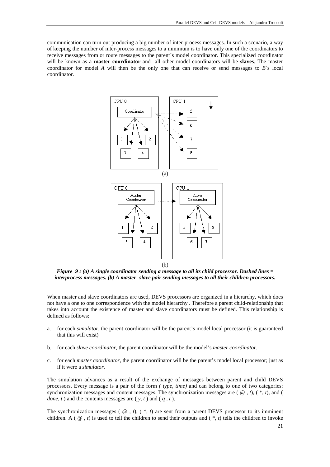communication can turn out producing a big number of inter-process messages. In such a scenario, a way of keeping the number of inter-process messages to a minimum is to have only one of the coordinators to receive messages from or route messages to the parent´s model coordinator. This specialized coordinator will be known as a **master coordinator** and all other model coordinators will be **slaves***.* The master coordinator for model *A* will then be the only one that can receive or send messages to *B*´s local coordinator*.*



*Figure 9 : (a) A single coordinator sending a message to all its child processor. Dashed lines = interprocess messages. (b) A master- slave pair sending messages to all their children processors.* 

When master and slave coordinators are used, DEVS processors are organized in a hierarchy, which does not have a one to one correspondence with the model hierarchy . Therefore a parent child-relationship that takes into account the existence of master and slave coordinators must be defined. This relationship is defined as follows:

- a. for each *simulator*, the parent coordinator will be the parent's model local processor (it is guaranteed that this will exist)
- b. for each *slave coordinator*, the parent coordinator will be the model's *master coordinator.*
- c. for each *master coordinator*, the parent coordinator will be the parent's model local processor; just as if it were a *simulator*.

The simulation advances as a result of the exchange of messages between parent and child DEVS processors. Every message is a pair of the form *( type, time)* and can belong to one of two categories: synchronization messages and content messages. The synchronization messages are ( $\omega$ , *t*), (\*, *t*), and ( *done*, *t*) and the contents messages are ( $y$ , *t*) and ( $q$ , *t*).

The synchronization messages ( $\mathcal{Q}$ , *t*), ( $*, t$ ) are sent from a parent DEVS processor to its imminent children. A ( $\varnothing$ , *t*) is used to tell the children to send their outputs and ( $*, t$ ) tells the children to invoke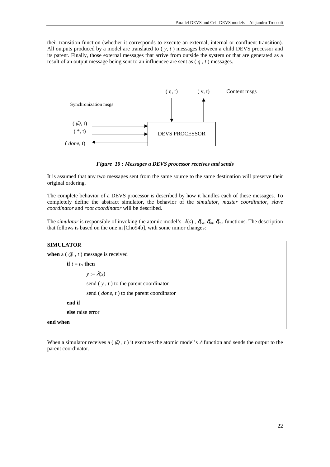their transition function (whether it corresponds to execute an external, internal or confluent transition). All outputs produced by a model are translated to ( *y*, *t* ) messages between a child DEVS processor and its parent. Finally, those external messages that arrive from outside the system or that are generated as a result of an output message being sent to an influencee are sent as ( *q* , *t* ) messages.



*Figure 10 : Messages a DEVS processor receives and sends*

It is assumed that any two messages sent from the same source to the same destination will preserve their original ordering.

The complete behavior of a DEVS processor is described by how it handles each of these messages. To completely define the abstract simulator, the behavior of the *simulator*, *master coordinator*, *slave coordinator* and *root coordinator* will be described.

The *simulator* is responsible of invoking the atomic model's  $\lambda(s)$ ,  $\delta_{\text{ext}}$ ,  $\delta_{\text{int}}$ ,  $\delta_{\text{cont}}$  functions. The description that follows is based on the one in [Cho94b], with some minor changes:

```
SIMULATOR 
when a ( @ , t ) message is received 
         if t = t_N then
                   y := \lambda(s) send ( y , t ) to the parent coordinator 
                    send ( done, t ) to the parent coordinator 
         end if 
         else raise error 
end when
```
When a simulator receives a  $(Q, t)$  it executes the atomic model's  $\lambda$  function and sends the output to the parent coordinator.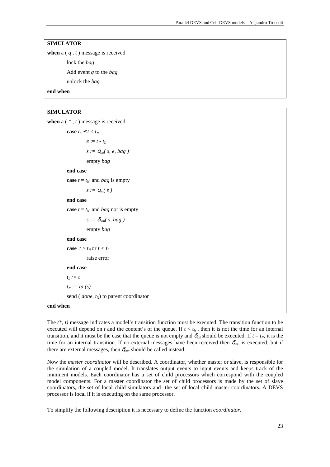#### **SIMULATOR**

**when** a ( *q* , *t* ) message is received

lock the *bag*

Add event *q* to the *bag*

unlock the *bag*

**end when** 

#### **SIMULATOR**

**when** a ( *\** , *t* ) message is received **case**  $t_L \leq t < t_N$  $e := t - t_L$  $s := \delta_{\text{ext}}(s, e, bag)$ empty *bag*

**end case** 

**case**  $t = t_N$  and *bag* is empty

$$
s := \delta_{\text{int}}(s)
$$

#### **end case**

**case**  $t = t_N$  and *bag* not is empty

 $s := \delta_{con}(s, bag)$ 

empty *bag* 

#### **end case**

**case**  $t > t_N$  or  $t < t_L$ 

raise error

#### **end case**

 $t_L := t$ 

 $t_N := ta(s)$ 

send ( *done, tN*) to parent coordinator

#### **end when**

The *(\*, t)* message indicates a model's transition function must be executed. The transition function to be executed will depend on *t* and the content's of the queue. If  $t < t_N$ , then it is not the time for an internal transition, and it must be the case that the queue is not empty and  $\delta_{ext}$  should be executed. If  $t = t_N$ , it is the time for an internal transition. If no external messages have been received then  $\delta_{\rm{inp}}$  is executed, but if there are external messages, then  $\delta_{con}$  should be called instead.

Now the *master coordinator* will be described. A coordinator, whether master or slave, is responsible for the simulation of a coupled model. It translates output events to input events and keeps track of the imminent models. Each coordinator has a set of child processors which correspond with the coupled model components. For a master coordinator the set of child processors is made by the set of slave coordinators*,* the set of local child simulators and the set of local child master coordinators*.* A DEVS processor is local if it is executing on the same processor.

To simplify the following description it is necessary to define the function *coordinator*.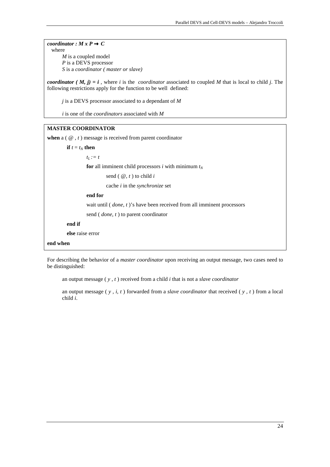$coordinator : M \times P \rightarrow C$  where *M* is a coupled model *P* is a DEVS processor  *S* is a *coordinator ( master or slave)* 

*coordinator* (*M, j)* = *i*, where *i* is the *coordinator* associated to coupled *M* that is local to child *j*. The following restrictions apply for the function to be well defined:

 *j* is a DEVS processor associated to a dependant of *M* 

 *i* is one of the *coordinators* associated with *M* 

## **MASTER COORDINATOR**

**when** a ( @ , *t* ) message is received from parent coordinator

**if**  $t = t_N$  **then** 

 $t_L := t$ 

 **for** all imminent child processors *i* with minimum  $t_N$ 

send ( @, *t* ) to child *i*

cache *i* in the *synchronize* set

**end for** 

wait until ( *done*, *t* )'s have been received from all imminent processors

send ( *done*, *t* ) to parent coordinator

#### **end if**

 **else** raise error

#### **end when**

For describing the behavior of a *master coordinator* upon receiving an output message, two cases need to be distinguished:

an output message ( *y* , *t* ) received from a child *i* that is not a *slave coordinator* 

an output message ( *y , i, t* ) forwarded from a *slave coordinator* that received ( *y* , *t* ) from a local child *i*.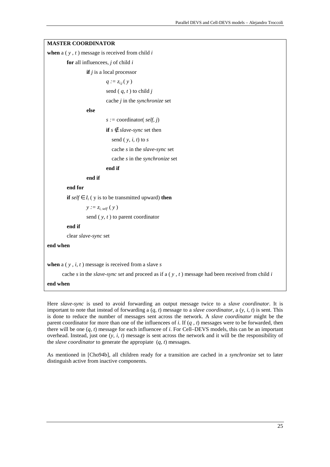#### **MASTER COORDINATOR**

**when** a ( *y* , *t* ) message is received from child *i* 

**for** all influencees, *j* of child *i* 

**if**  $j$  is a local processor

 $q := z_{i,j} (y)$ 

send  $(q, t)$  to child *j* 

cache *j* in the *synchronize* set

**else** 

 $s :=$  coordinator( *self, j*)

**if**  $s \notin slave-sync$  set then

```
 send ( y, i, t) to s
```
cache *s* in the *slave-sync* set

cache *s* in the *synchronize* set

**end if** 

 **end if** 

#### **end for**

**if** *self* ∈ *I<sub>i</sub>* ( $\text{y}$  is to be transmitted upward) **then** 

 $y := z_{i, self}(y)$ 

send ( *y*, *t* ) to parent coordinator

#### **end if**

clear *slave-sync* set

#### **end when**

**when** a ( *y* , *i*, *t* ) message is received from a slave *s* 

cache *s* in the *slave-sync set* and proceed as if a ( *y* , *t* ) message had been received from child *i*

**end when** 

Here *slave-sync* is used to avoid forwarding an output message twice to a *slave coordinator*. It is important to note that instead of forwarding a (*q*, *t*) message to a *slave coordinator*, a (*y, i, t*) is sent. This is done to reduce the number of messages sent across the network. A *slave coordinator* might be the parent coordinator for more than one of the influencees of *i*. If (*q* , *t*) messages were to be forwarded, then there will be one (*q*, *t*) message for each influencee of *i*. For Cell–DEVS models, this can be an important overhead. Instead, just one (*y, i, t*) message is sent across the network and it will be the responsibility of the *slave coordinator* to generate the appropiate  $(q, t)$  messages.

As mentioned in [Cho94b], all children ready for a transition are cached in a *synchronize* set to later distinguish active from inactive components.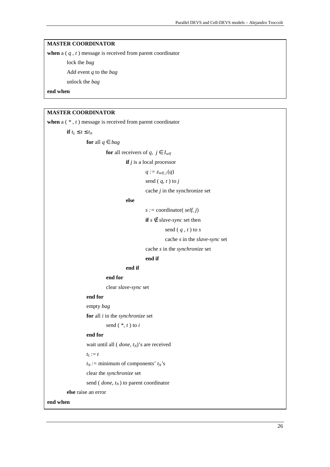#### **MASTER COORDINATOR**

**when** a ( *q* , *t* ) message is received from parent coordinator

lock the *bag*

Add event *q* to the *bag*

unlock the *bag*

**end when** 

## **MASTER COORDINATOR**

**when** a ( *\** , *t* ) message is received from parent coordinator **if**  $t_L \leq t \leq t_N$ **for** all  $q \in bag$ **for** all receivers of  $q, j \in I_{self}$ **if**  $j$  is a local processor  $q := z_{self, j}(q)$ send  $(q, t)$  to  $j$  cache *j* in the synchronize set **else**   $s :=$  coordinator( *self, j*) **if**  $s \notin slave-sync$  set then send ( *q* , *t* ) to *s*  cache *s* in the *slave-sync* set cache *s* in the *synchronize* set **end if end if end for**  clear *slave-sync* set **end for**  empty *bag* **for** all *i* in the *synchronize* set send ( \*, *t* ) to *i* **end for**  wait until all (*done, t<sub>N</sub>*)'s are received  $t_L := t$  $t_N$ : = minimum of components'  $t_N$ 's clear the *synchronize* set send ( *done*, *t<sup>N</sup>* ) to parent coordinator **else** raise an error **end when**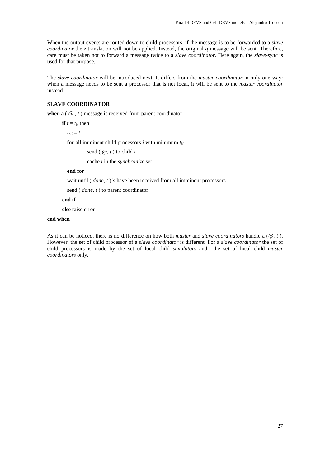When the output events are routed down to child processors, if the message is to be forwarded to a *slave coordinator* the *z* translation will not be applied. Instead, the original *q* message will be sent. Therefore, care must be taken not to forward a message twice to a *slave coordinator*. Here again, the *slave-sync* is used for that purpose.

The *slave coordinator* will be introduced next. It differs from the *master coordinator* in only one way: when a message needs to be sent a processor that is not local, it will be sent to the *master coordinator* instead.

| <b>SLAVE COORDINATOR</b>                                                            |
|-------------------------------------------------------------------------------------|
| <b>when</b> $a \in \mathcal{Q}$ , $t$ ) message is received from parent coordinator |
| <b>if</b> $t = t_N$ then                                                            |
| $t_L := t$                                                                          |
| for all imminent child processors <i>i</i> with minimum $t_N$                       |
| send $(\mathcal{Q}, t)$ to child i                                                  |
| cache <i>i</i> in the <i>synchronize</i> set                                        |
| end for                                                                             |
| wait until ( $done, t$ )'s have been received from all imminent processors          |
| send ( $done, t$ ) to parent coordinator                                            |
| end if                                                                              |
| else raise error                                                                    |
| end when                                                                            |

As it can be noticed, there is no difference on how both *master* and *slave coordinators* handle a (@, *t* ). However, the set of child processor of a *slave coordinator* is different*.* For a *slave coordinator* the set of child processors is made by the set of local child *simulators* and the set of local child *master coordinators* only.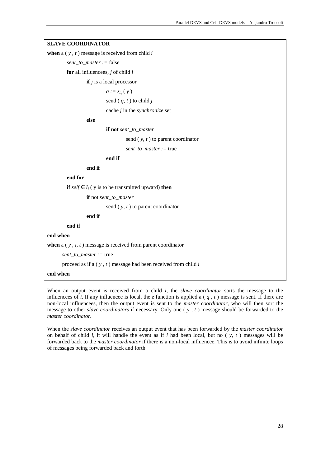## **SLAVE COORDINATOR**

**when** a ( *y* , *t* ) message is received from child *i* 

 *sent\_to\_master :=* false

**for** all influencees, *j* of child *i* 

**if**  $j$  is a local processor

 $q := z_{i,j}(y)$ 

send  $(q, t)$  to child *j* 

cache *j* in the *synchronize* set

**else** 

**if not** *sent\_to\_master*

send ( *y*, *t* ) to parent coordinator

```
 sent_to_master := true
```
 **end if** 

## **end for**

**if** *self* ∈  $I_i$  ( y is to be transmitted upward) **then** 

**if** not *sent\_to\_master*

send ( *y*, *t* ) to parent coordinator

**end if** 

 **end if** 

## **end if**

**end when** 

**when** a ( *y* , *i*, *t* ) message is received from parent coordinator

 *sent\_to\_master :=* true

proceed as if a ( *y* , *t* ) message had been received from child *i*

**end when** 

When an output event is received from a child *i*, the *slave coordinator* sorts the message to the influencees of *i*. If any influencee is local, the *z* function is applied a ( $q$ ,  $t$ ) message is sent. If there are non-local influencees, then the output event is sent to the *master coordinator*, who will then sort the message to other *slave coordinators* if necessary. Only one ( *y* , *t* ) message should be forwarded to the *master coordinator.* 

When the *slave coordinator* receives an output event that has been forwarded by the *master coordinator*  on behalf of child *i*, it will handle the event as if *i* had been local, but no ( *y*, *t* ) messages will be forwarded back to the *master coordinator* if there is a non-local influencee. This is to avoid infinite loops of messages being forwarded back and forth.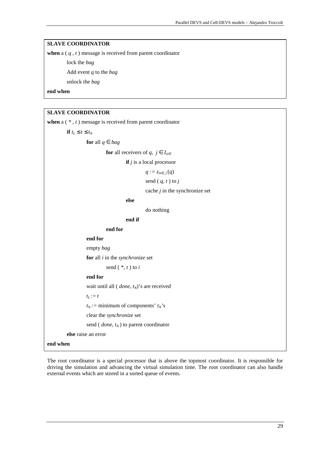## **SLAVE COORDINATOR**

**when** a ( *q* , *t* ) message is received from parent coordinator

lock the *bag*

Add event *q* to the *bag*

unlock the *bag*

**end when** 

## **SLAVE COORDINATOR**

**when** a ( *\** , *t* ) message is received from parent coordinator

**if**  $t_L \leq t \leq t_N$ 

**for** all  $q \in bag$ 

**for** all receivers of  $q, j \in I_{self}$ 

**if**  $j$  is a local processor

```
q := z_{\text{self}, j}(q)
```

```
 send ( q, t ) to j
```
cache *j* in the synchronize set

**else** 

do nothing

**end if** 

**end for** 

**end for**  empty *bag* 

**for** all *i* in the *synchronize* set

```
 send ( *, t ) to i
```
**end for** 

wait until all ( *done, tN*)'s are received

 $t_L := t$ 

 $t_N$ : = minimum of components'  $t_N$ 's

clear the *synchronize* set

send ( $done, t_N$ ) to parent coordinator

**else** raise an error

```
end when
```
The root coordinator is a special processor that is above the topmost coordinator. It is responsible for driving the simulation and advancing the virtual simulation time. The root coordinator can also handle external events which are stored in a sorted queue of events.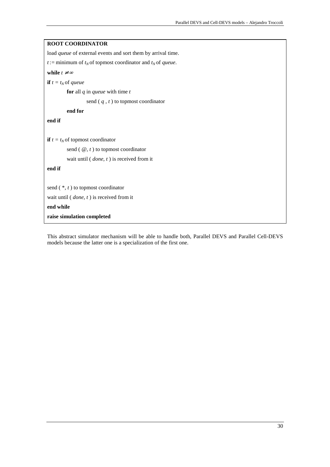| <b>ROOT COORDINATOR</b>                                                    |
|----------------------------------------------------------------------------|
| load queue of external events and sort them by arrival time.               |
| $t :=$ minimum of $t_N$ of topmost coordinator and $t_N$ of <i>queue</i> . |
| while $t \neq \infty$                                                      |
| <b>if</b> $t = t_N$ of queue                                               |
| for all $q$ in <i>queue</i> with time $t$                                  |
| send $(q, t)$ to topmost coordinator                                       |
| end for                                                                    |
| end if                                                                     |
|                                                                            |
| <b>if</b> $t = t_N$ of topmost coordinator                                 |
| send $(\mathcal{Q}, t)$ to topmost coordinator                             |
| wait until ( $done, t$ ) is received from it                               |
| end if                                                                     |
|                                                                            |
| send $(*, t)$ to topmost coordinator                                       |
| wait until ( $done, t$ ) is received from it                               |
| end while                                                                  |
| raise simulation completed                                                 |
|                                                                            |

This abstract simulator mechanism will be able to handle both, Parallel DEVS and Parallel Cell-DEVS models because the latter one is a specialization of the first one.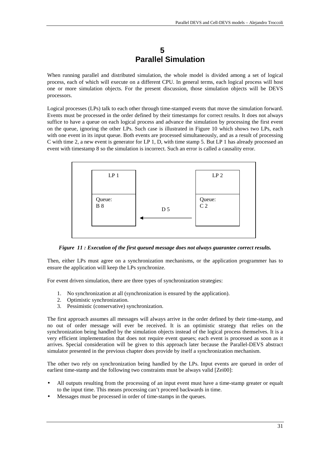# **5 Parallel Simulation**

When running parallel and distributed simulation, the whole model is divided among a set of logical process, each of which will execute on a different CPU. In general terms, each logical process will host one or more simulation objects. For the present discussion, those simulation objects will be DEVS processors.

Logical processes (LPs) talk to each other through time-stamped events that move the simulation forward. Events must be processed in the order defined by their timestamps for correct results. It does not always suffice to have a queue on each logical process and advance the simulation by processing the first event on the queue, ignoring the other LPs. Such case is illustrated in Figure 10 which shows two LPs, each with one event in its input queue. Both events are processed simultaneously, and as a result of processing C with time 2, a new event is generator for LP 1, D, with time stamp 5. But LP 1 has already processed an event with timestamp 8 so the simulation is incorrect. Such an error is called a causality error.



*Figure 11 : Execution of the first queued message does not always guarantee correct results.*

Then, either LPs must agree on a synchronization mechanisms, or the application programmer has to ensure the application will keep the LPs synchronize.

For event driven simulation, there are three types of synchronization strategies:

- 1. No synchronization at all (synchronization is ensured by the application).
- 2. Optimistic synchronization.
- 3. Pessimistic (conservative) synchronization.

The first approach assumes all messages will always arrive in the order defined by their time-stamp, and no out of order message will ever be received. It is an optimistic strategy that relies on the synchronization being handled by the simulation objects instead of the logical process themselves. It is a very efficient implementation that does not require event queues; each event is processed as soon as it arrives. Special consideration will be given to this approach later because the Parallel-DEVS abstract simulator presented in the previous chapter does provide by itself a synchronization mechanism.

The other two rely on synchronization being handled by the LPs. Input events are queued in order of earliest time-stamp and the following two constraints must be always valid [Zei00]:

- All outputs resulting from the processing of an input event must have a time-stamp greater or equalt to the input time. This means processing can't proceed backwards in time.
- Messages must be processed in order of time-stamps in the queues.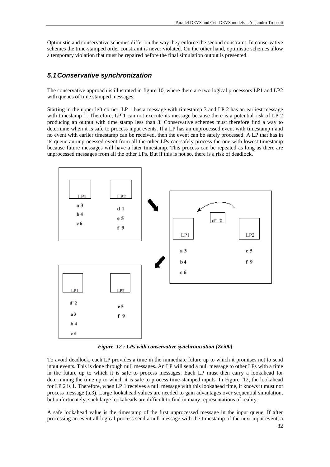Optimistic and conservative schemes differ on the way they enforce the second constraint. In conservative schemes the time-stamped order constraint is never violated. On the other hand, optimistic schemes allow a temporary violation that must be repaired before the final simulation output is presented.

## **5.1 Conservative synchronization**

The conservative approach is illustrated in figure 10, where there are two logical processors LP1 and LP2 with queues of time stamped messages.

Starting in the upper left corner, LP 1 has a message with timestamp 3 and LP 2 has an earliest message with timestamp 1. Therefore, LP 1 can not execute its message because there is a potential risk of LP 2 producing an output with time stamp less than 3. Conservative schemes must therefore find a way to determine when it is safe to process input events. If a LP has an unprocessed event with timestamp *t* and no event with earlier timestamp can be received, then the event can be safely processed. A LP that has in its queue an unprocessed event from all the other LPs can safely process the one with lowest timestamp because future messages will have a later timestamp. This process can be repeated as long as there are unprocessed messages from all the other LPs. But if this is not so, there is a risk of deadlock.



*Figure 12 : LPs with conservative synchronization [Zei00]* 

To avoid deadlock, each LP provides a time in the immediate future up to which it promises not to send input events. This is done through null messages. An LP will send a null message to other LPs with a time in the future up to which it is safe to process messages. Each LP must then carry a lookahead for determining the time up to which it is safe to process time-stamped inputs. In Figure 12, the lookahead for LP 2 is 1. Therefore, when LP 1 receives a null message with this lookahead time, it knows it must not process message (a,3). Large lookahead values are needed to gain advantages over sequential simulation, but unfortunately, such large lookaheads are difficult to find in many representations of reality.

A safe lookahead value is the timestamp of the first unprocessed message in the input queue. If after processing an event all logical process send a null message with the timestamp of the next input event, a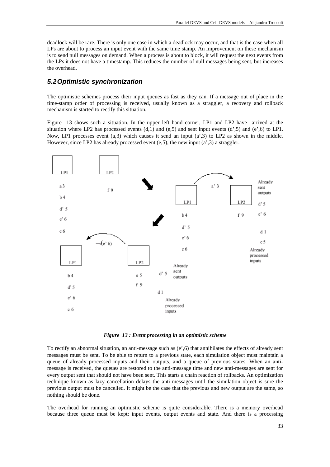deadlock will be rare. There is only one case in which a deadlock may occur, and that is the case when all LPs are about to process an input event with the same time stamp. An improvement on these mechanism is to send null messages on demand. When a process is about to block, it will request the next events from the LPs it does not have a timestamp. This reduces the number of null messages being sent, but increases the overhead.

## **5.2 Optimistic synchronization**

The optimistic schemes process their input queues as fast as they can. If a message out of place in the time-stamp order of processing is received, usually known as a straggler, a recovery and rollback mechanism is started to rectify this situation.

Figure 13 shows such a situation. In the upper left hand corner, LP1 and LP2 have arrived at the situation where LP2 has processed events  $(d,1)$  and  $(e,5)$  and sent input events  $(d',5)$  and  $(e',6)$  to LP1. Now, LP1 processes event (a,3) which causes it send an input (a',3) to LP2 as shown in the middle. However, since LP2 has already processed event  $(e, 5)$ , the new input  $(a', 3)$  a straggler.



*Figure 13 : Event processing in an optimistic scheme*

To rectify an abnormal situation, an anti-message such as  $(e', 6)$  that annihilates the effects of already sent messages must be sent. To be able to return to a previous state, each simulation object must maintain a queue of already processed inputs and their outputs, and a queue of previous states. When an antimessage is received, the queues are restored to the anti-message time and new anti-messages are sent for every output sent that should not have been sent. This starts a chain reaction of rollbacks. An optimization technique known as lazy cancellation delays the anti-messages until the simulation object is sure the previous output must be cancelled. It might be the case that the previous and new output are the same, so nothing should be done.

The overhead for running an optimistic scheme is quite considerable. There is a memory overhead because three queue must be kept: input events, output events and state. And there is a processing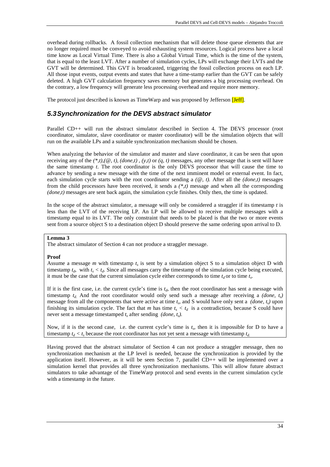overhead during rollbacks. A fossil collection mechanism that will delete those queue elements that are no longer required must be conveyed to avoid exhausting system resources. Logical process have a local time know as Local Virtual Time. There is also a Global Virtual Time, which is the time of the system, that is equal to the least LVT. After a number of simulation cycles, LPs will exchange their LVTs and the GVT will be determined. This GVT is broadcasted, triggering the fossil collection process on each LP. All those input events, output events and states that have a time-stamp earlier than the GVT can be safely deleted. A high GVT calculation frequency saves memory but generates a big processing overhead. On the contrary, a low frequency will generate less processing overhead and require more memory.

The protocol just described is known as TimeWarp and was proposed by Jefferson [Jeff].

## **5.3 Synchronization for the DEVS abstract simulator**

Parallel CD++ will run the abstract simulator described in Section 4. The DEVS processor (root coordinator, simulator, slave coordinator or master coordinator) will be the simulation objects that will run on the available LPs and a suitable synchronization mechanism should be chosen.

When analyzing the behavior of the simulator and master and slave coordinator, it can be seen that upon receiving any of the *(\*,t),(@, t), (done,t) , (y,t)* or *(q, t)* messages, any other message that is sent will have the same timestamp *t*. The root coordinator is the only DEVS processor that will cause the time to advance by sending a new message with the time of the next imminent model or external event. In fact, each simulation cycle starts with the root coordinator sending a *(@, t).* After all the *(done,t)* messages from the child processors have been received, it sends a *(\*,t)* message and when all the corresponding *(done,t)* messages are sent back again, the simulation cycle finishes. Only then, the time is updated.

In the scope of the abstract simulator, a message will only be considered a straggler if its timestamp *t* is less than the LVT of the receiving LP. An LP will be allowed to receive multiple messages with a timestamp equal to its LVT. The only constraint that needs to be placed is that the two or more events sent from a source object S to a destination object D should preserve the same ordering upon arrival to D.

#### **Lemma 3**

The abstract simulator of Section 4 can not produce a straggler message.

#### **Proof**

Assume a message *m* with timestamp *t<sup>s</sup>* is sent by a simulation object S to a simulation object D with timestamp  $t_d$ , with  $t_s < t_d$ . Since all messages carry the timestamp of the simulation cycle being executed, it must be the case that the current simulation cycle either corresponds to time  $t_d$  or to time  $t_s$ .

If it is the first case, i.e. the current cycle's time is  $t_d$ , then the root coordinator has sent a message with timestamp *td*. And the root coordinator would only send such a message after receiving a *(done, ts)*  message from all the components that were active at time  $t_s$ , and S would have only sent a *(done, t<sub>s</sub>)* upon finishing its simulation cycle. The fact that *m* has time  $t_s < t_d$  is a contradiction, because S could have never sent a message timestamped *t<sup>s</sup>* after sending *(done, ts).* 

Now, if it is the second case, i.e. the current cycle's time is  $t_s$ , then it is impossible for D to have a timestamp  $t_d < t_s$  because the root coordinator has not yet sent a message with timestamp  $t_d$ .

Having proved that the abstract simulator of Section 4 can not produce a straggler message, then no synchronization mechanism at the LP level is needed, because the synchronization is provided by the application itself. However, as it will be seen Section 7*,* parallel CD++ will be implemented over a simulation kernel that provides all three synchronization mechanisms. This will allow future abstract simulators to take advantage of the TimeWarp protocol and send events in the current simulation cycle with a timestamp in the future.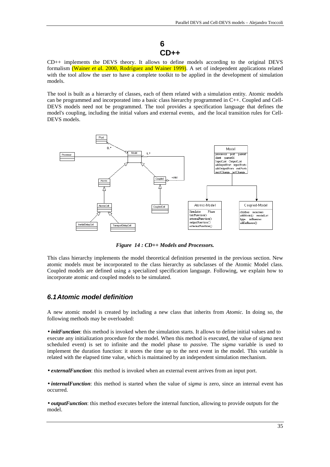# **6 CD++**

CD++ implements the DEVS theory. It allows to define models according to the original DEVS formalism (Wainer *et a*l. 2000, Rodríguez and Wainer 1999). A set of independent applications related with the tool allow the user to have a complete toolkit to be applied in the development of simulation models.

The tool is built as a hierarchy of classes, each of them related with a simulation entity. Atomic models can be programmed and incorporated into a basic class hierarchy programmed in C++. Coupled and Cell-DEVS models need not be programmed. The tool provides a specification language that defines the model's coupling, including the initial values and external events, and the local transition rules for Cell-DEVS models.



*Figure 14 : CD++ Models and Processors.*

This class hierarchy implements the model theoretical definition presented in the previous section. New atomic models must be incorporated to the class hierarchy as subclasses of the Atomic Model class. Coupled models are defined using a specialized specification language. Following, we explain how to incorporate atomic and coupled models to be simulated.

## **6.1 Atomic model definition**

A new atomic model is created by including a new class that inherits from *Atomic.* In doing so, the following methods may be overloaded:

• *initFunction*: this method is invoked when the simulation starts. It allows to define initial values and to execute any initialization procedure for the model. When this method is executed, the value of *sigma* next scheduled event) is set to infinite and the model phase to *passiv*e. The *sigma* variable is used to implement the duration function: it stores the time up to the next event in the model. This variable is related with the elapsed time value, which is maintained by an independent simulation mechanism.

• *externalFunction*: this method is invoked when an external event arrives from an input port.

• *internalFunction*: this method is started when the value of *sigma* is zero, since an internal event has occurred.

• *outputFunction*: this method executes before the internal function, allowing to provide outputs for the model.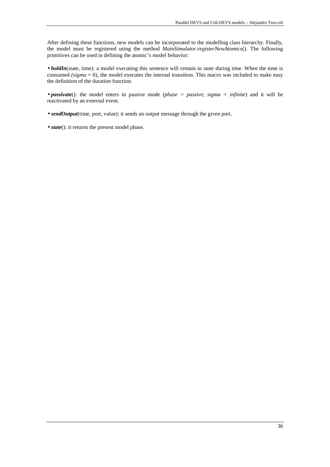After defining these functions, new models can be incorporated to the modelling class hierarchy. Finally, the model must be registered using the method *MainSimulator.registerNewAtomic*s(). The following primitives can be used in defining the atomic's model behavior:

• *holdIn*(state, time): a model executing this sentence will remain in *state* during *tim*e. When the time is consumed *(sigma* = 0), the model executes the internal transition. This macro was included to make easy the definition of the duration function.

• *passivate*(): the model enters in passive mode *(phase = passive*; *sigma = infinite*) and it will be reactivated by an external event.

- **sendOutput**(time, port, value): it sends an output message through the given port.
- *state*(): it returns the present model phase.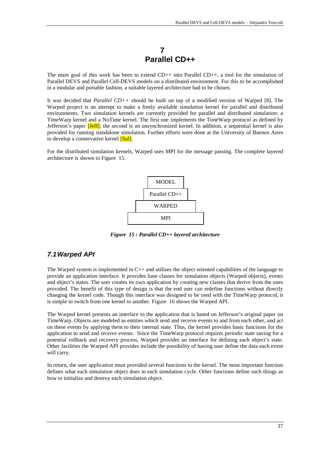# **7 Parallel CD++**

The main goal of this work has been to extend CD++ into Parallel CD++, a tool for the simulation of Parallel DEVS and Parallel Cell-DEVS models on a distributed environment. For this to be accomplished in a modular and portable fashion, a suitable layered architecture had to be chosen.

It was decided that *Parallel CD++* should be built on top of a modified version of Warped [8]. The Warped project is an attempt to make a freely available simulation kernel for parallel and distributed environments. Two simulation kernels are currently provided for parallel and distributed simulation: a TimeWarp kernel and a NoTime kernel. The first one implements the TimeWarp protocol as defined by Jefferson's paper [Jeff]; the second is an unsynchronized kernel. In addition, a sequential kernel is also provided for running standalone simulation. Further efforts were done at the University of Buenos Aires to develop a conservative kernel **[Sul]**.

For the distributed simulation kernels, Warped uses MPI for the message passing. The complete layered architecture is shown in Figure 15.



*Figure 15 : Parallel CD++ layered architecture* 

## **7.1 Warped API**

The Warped system is implemented in C++ and utilizes the object oriented capabilities of the language to provide an application interface. It provides base classes for simulation objects (Warped objects), events and object's states. The user creates its own application by creating new classes that derive from the ones provided. The benefit of this type of design is that the end user can redefine functions without directly changing the kernel code. Though this interface was designed to be used with the TimeWarp protocol, it is simple to switch from one kernel to another. Figure 16 shows the Warped API.

The Warped kernel presents an interface to the application that is based on Jefferson's original paper on TimeWarp. Objects are modeled as entities which send and receive events to and from each other, and act on these events by applying them to their internal state. Thus, the kernel provides basic functions for the application to send and receive events. Since the TimeWarp protocol requires periodic state saving for a potential rollback and recovery process, Warped provides an interface for defining each object's state. Other facilities the Warped API provides include the possibility of having user define the data each event will carry.

In return, the user application must provided several functions to the kernel. The most important function defines what each simulation object does in each simulation cycle. Other functions define such things as how to initialize and destroy each simulation object.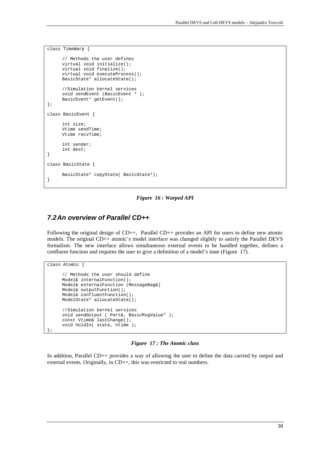```
class TimeWarp { 
       // Methods the user defines 
       virtual void initialize(); 
      virtual void finalize();
      virtual void executeProcess();
       BasicState* allocateState(); 
       //Simulation kernel services 
       void sendEvent (BasicEvent * ); 
       BasicEvent* getEvent(); 
}; 
class BasicEvent { 
       int size; 
       Vtime sendTime; 
       Vtime recvTime; 
       int sender; 
       int dest; 
} 
class BasicState { 
       BasicState* copyState( BasicState*); 
}
```
*Figure 16 : Warped API* 

## **7.2 An overview of Parallel CD++**

Following the original design of CD++, Parallel CD++ provides an API for users to define new atomic models. The original CD++ atomic's model interface was changed slightly to satisfy the Parallel DEVS formalism. The new interface allows simultaneous external events to be handled together, defines a confluent function and requires the user to give a definition of a model's state (Figure 17).

```
class Atomic { 
       // Methods the user should define 
      Model& internalFunction(); 
      Model& externalFunction (MessageBag&) 
      Model& outputFunction(); 
      Model& confluentFunction(); 
      ModelState* allocateState(); 
      //Simulation kernel services 
      void sendOutput ( Port&, BasicMsgValue* ); 
      const Vtime& lastChange(); 
      void holdIn( state, Vtime ); 
};
```
*Figure 17 : The Atomic class* 

In addition, Parallel CD++ provides a way of allowing the user to define the data carried by output and external events. Originally, in CD++, this was restricted to real numbers.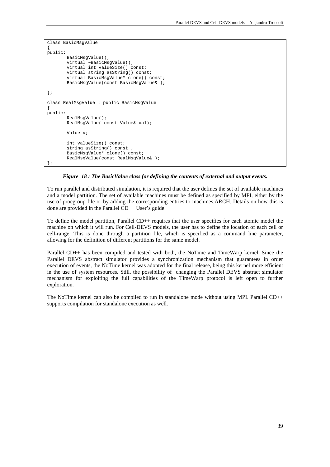```
class BasicMsgValue 
{ 
public: 
         BasicMsgValue(); 
         virtual ~BasicMsgValue(); 
         virtual int valueSize() const; 
         virtual string asString() const; 
         virtual BasicMsgValue* clone() const; 
         BasicMsgValue(const BasicMsgValue& ); 
}; 
class RealMsgValue : public BasicMsgValue 
{ 
public: 
         RealMsgValue(); 
         RealMsgValue( const Value& val); 
         Value v; 
         int valueSize() const; 
         string asString() const ; 
         BasicMsgValue* clone() const; 
         RealMsgValue(const RealMsgValue& ); 
};
```
*Figure 18 : The BasicValue class for defining the contents of external and output events.* 

To run parallel and distributed simulation, it is required that the user defines the set of available machines and a model partition. The set of available machines must be defined as specified by MPI, either by the use of procgroup file or by adding the corresponding entries to machines.ARCH. Details on how this is done are provided in the Parallel CD++ User's guide.

To define the model partition, Parallel CD++ requires that the user specifies for each atomic model the machine on which it will run. For Cell-DEVS models, the user has to define the location of each cell or cell-range. This is done through a partition file, which is specified as a command line parameter, allowing for the definition of different partitions for the same model.

Parallel CD++ has been compiled and tested with both, the NoTime and TimeWarp kernel. Since the Parallel DEVS abstract simulator provides a synchronization mechanism that guarantees in order execution of events, the NoTime kernel was adopted for the final release, being this kernel more efficient in the use of system resources. Still, the possibility of changing the Parallel DEVS abstract simulator mechanism for exploiting the full capabilities of the TimeWarp protocol is left open to further exploration.

The NoTime kernel can also be compiled to run in standalone mode without using MPI. Parallel CD++ supports compilation for standalone execution as well.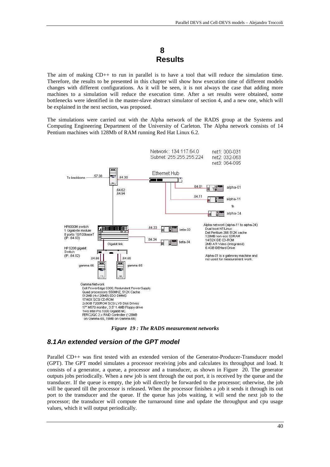# **8 Results**

The aim of making CD++ to run in parallel is to have a tool that will reduce the simulation time. Therefore, the results to be presented in this chapter will show how execution time of different models changes with different configurations. As it will be seen, it is not always the case that adding more machines to a simulation will reduce the execution time. After a set results were obtained, some bottlenecks were identified in the master-slave abstract simulator of section 4, and a new one, which will be explained in the next section, was proposed.

The simulations were carried out with the Alpha network of the RADS group at the Systems and Computing Engineering Department of the University of Carleton. The Alpha network consists of 14 Pentium machines with 128Mb of RAM running Red Hat Linux 6.2.



*Figure 19 : The RADS measurement networks*

## **8.1 An extended version of the GPT model**

Parallel CD++ was first tested with an extended version of the Generator-Producer-Transducer model (GPT). The GPT model simulates a processor receiving jobs and calculates its throughput and load. It consists of a generator, a queue, a processor and a transducer, as shown in Figure 20. The generator outputs jobs periodically. When a new job is sent through the out port, it is received by the queue and the transducer. If the queue is empty, the job will directly be forwarded to the processor; otherwise, the job will be queued till the processor is released. When the processor finishes a job it sends it through its out port to the transducer and the queue. If the queue has jobs waiting, it will send the next job to the processor; the transducer will compute the turnaround time and update the throughput and cpu usage values, which it will output periodically.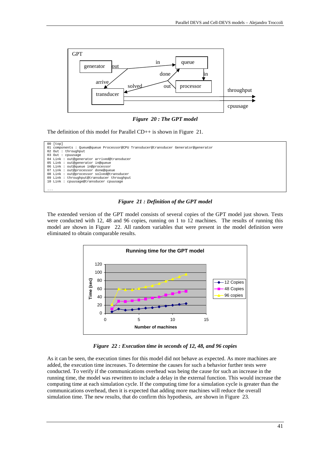

*Figure 20 : The GPT model*

The definition of this model for Parallel CD++ is shown in Figure 21.

```
00 [top] 
    01 components : Queue@queue Processor@CPU Transducer@transducer Generator@generator 
02 Out : throughput<br>03 Out : cpuusage
             03 Out : cpuusage 
04 Link : out@generator arrived@transducer
05 Link : out@generator in@queue 
06 Link : out@queue in@processor 
07 Link : out@processor done@queue<br>08 Link : out@processor solved@tra
08 Link : out@processor solved@transducer 
09 Link : throughput@transducer throughput 
10 Link : cpuusage@transducer cpuusage 
...
```
#### *Figure 21 : Definition of the GPT model*

The extended version of the GPT model consists of several copies of the GPT model just shown. Tests were conducted with 12, 48 and 96 copies, running on 1 to 12 machines. The results of running this model are shown in Figure 22. All random variables that were present in the model definition were eliminated to obtain comparable results.



*Figure 22 : Execution time in seconds of 12, 48, and 96 copies* 

As it can be seen, the execution times for this model did not behave as expected. As more machines are added, the execution time increases. To determine the causes for such a behavior further tests were conducted. To verify if the communications overhead was being the cause for such an increase in the running time, the model was rewritten to include a delay in the external function. This would increase the computing time at each simulation cycle. If the computing time for a simulation cycle is greater than the communications overhead, then it is expected that adding more machines will reduce the overall simulation time. The new results, that do confirm this hypothesis, are shown in Figure 23.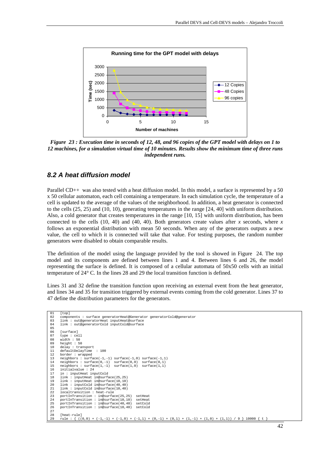

*Figure 23 : Execution time in seconds of 12, 48, and 96 copies of the GPT model with delays on 1 to 12 machines, for a simulation virtual time of 10 minutes. Results show the minimum time of three runs independent runs.*

## **8.2 A heat diffusion model**

Parallel CD++ was also tested with a heat diffusion model. In this model, a surface is represented by a 50 x 50 cellular automaton, each cell containing a temperature. In each simulation cycle, the temperature of a cell is updated to the average of the values of the neighborhood. In addition, a heat generator is connected to the cells (25, 25) and (10, 10), generating temperatures in the range [24, 40] with uniform distribution. Also, a cold generator that creates temperatures in the range [10, 15] with uniform distribution, has been connected to the cells  $(10, 40)$  and  $(40, 40)$ . Both generators create values after *x* seconds, where *x* follows an exponential distribution with mean 50 seconds. When any of the generators outputs a new value, the cell to which it is connected will take that value. For testing purposes, the random number generators were disabled to obtain comparable results.

The definition of the model using the language provided by the tool is showed in Figure 24. The top model and its components are defined between lines 1 and 4. Between lines 6 and 26, the model representing the surface is defined. It is composed of a cellular automata of 50x50 cells with an initial temperature of 24° C. In the lines 28 and 29 the local transition function is defined.

Lines 31 and 32 define the transition function upon receiving an external event from the heat generator, and lines 34 and 35 for transition triggered by external events coming from the cold generator. Lines 37 to 47 define the distribution parameters for the generators.

```
01 [top]<br>02 compo
02 components : surface generatorHeat@Generator generatorCold@generator<br>03 link : out@generatorHeat inputHeat@surface
 03 link : out@generatorHeat inputHeat@surface 
04 link : out@generatorCold inputCold@surface 
05 
06 [surface]<br>07 type : ce
 07 type : cell 
08 width : 50 
09 height : 50<br>10 delay : transport<br>11 defaultDelayTime
 10 delay : transport 
11 defaultDelayTime : 100 
12 border : wrapped<br>13 meighbors : surf
13 neighbors : surface(-1,-1) surface(-1,0) surface(-1,1)<br>14 neighbors : surface(0,-1) surface(0,0) surface(0,1)<br>15 neighbors : surface(1,-1) surface(1,0) surface(1,1)
 14 neighbors : surface(0,-1) surface(0,0) surface(0,1) 
15 neighbors : surface(1,-1) surface(1,0) surface(1,1) 
16 initialvalue : 24 
           17 in : inputHeat inputCold 
 18 link : inputHeat in@surface(25,25) 
19 link : inputHeat in@surface(10,10) 
20 link : inputCold in@surface(40,40) 
21 Iink : inputHeat in@surface(10,10)<br>20 Iink : inputCold in@surface(40,40)<br>21 Iink : inputCold in@surface(10,40)<br>22 Iocaltransition : heat-rule
22 localtransition : heat-rule<br>23 portInTransition : in@surfa
23 portInTransition : in@surface(25,25) setHeat<br>24 portInTransition : in@surface(10,10) setHeat<br>25 portInTransition : in@surface(40,40) setCold
           portInTransition : in@surface(10,10) setHeat<br>portInTransition : in@surface(10,10) setHeat<br>portInTransition : in@surface(40,40) setCold
           portInTransition : in@surface(40,40) setCold<br>portInTransition : in@surface(10,40) setCold
                                               : in@surface(10,40)
26<br>27<br>28[heat-rule]
           29 rule : { ((0,0) + (-1,-1) + (-1,0) + (-1,1) + (0,-1) + (0,1) + (1,-1) + (1,0) + (1,1)) / 9 } 10000 { t }
```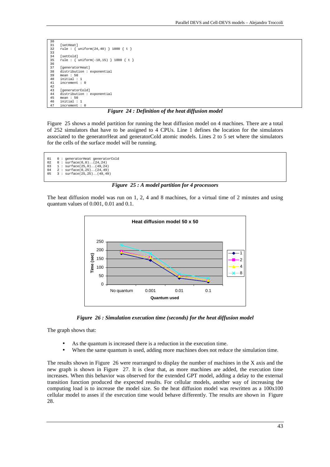```
30<br>31
        [setHeat]
32 rule : { uniform(24,40) } 1000 { t } 
33<br>3434 [setCold]<br>35 rule : {
        35 rule : { uniform(-10,15) } 1000 { t } 
36<br>36<br>37<br>38
        [generatorHeat]
38 distribution : exponential<br>39 mean : 50
39 mean : 50 
40 initial : 1 
40 initial : 1<br>41 increment : 0
\frac{42}{43}43 [generatorCold]<br>44 distribution:
44 distribution : exponential<br>45 mean : 50<br>46 initial : 1
45 mean : 50 
46 initial : 1 
47 increment : 0
```


Figure 25 shows a model partition for running the heat diffusion model on 4 machines. There are a total of 252 simulators that have to be assigned to 4 CPUs. Line 1 defines the location for the simulators associated to the generatorHeat and generatorCold atomic models. Lines 2 to 5 set where the simulators for the cells of the surface model will be running.

```
01 0 : generatorHeat generatorCold<br>02 0 : surface(0.0)..(24.24)
 02 0: surface(0,0)..(24,24)<br>03 1: surface(25,0)..(49,24)<br>04 2: surface(0,25)..(24,49)
05 3 : surface(25,25)..(49,49)
```
*Figure 25 : A model partition for 4 processors*

The heat diffusion model was run on 1, 2, 4 and 8 machines, for a virtual time of 2 minutes and using quantum values of 0.001, 0.01 and 0.1.



*Figure 26 : Simulation execution time (seconds) for the heat diffusion model* 

The graph shows that:

- As the quantum is increased there is a reduction in the execution time.
- When the same quantum is used, adding more machines does not reduce the simulation time.

The results shown in Figure 26 were rearranged to display the number of machines in the X axis and the new graph is shown in Figure 27. It is clear that, as more machines are added, the execution time increases. When this behavior was observed for the extended GPT model, adding a delay to the external transition function produced the expected results. For cellular models, another way of increasing the computing load is to increase the model size. So the heat diffusion model was rewritten as a 100x100 cellular model to asses if the execution time would behave differently. The results are shown in Figure 28.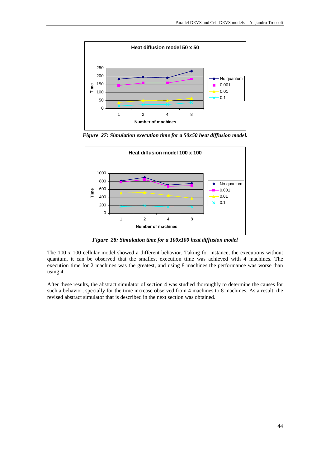

*Figure 27: Simulation execution time for a 50x50 heat diffusion model.* 



*Figure 28: Simulation time for a 100x100 heat diffusion model* 

The 100 x 100 cellular model showed a different behavior. Taking for instance, the executions without quantum, it can be observed that the smallest execution time was achieved with 4 machines. The execution time for 2 machines was the greatest, and using 8 machines the performance was worse than using 4.

After these results, the abstract simulator of section 4 was studied thoroughly to determine the causes for such a behavior, specially for the time increase observed from 4 machines to 8 machines. As a result, the revised abstract simulator that is described in the next section was obtained.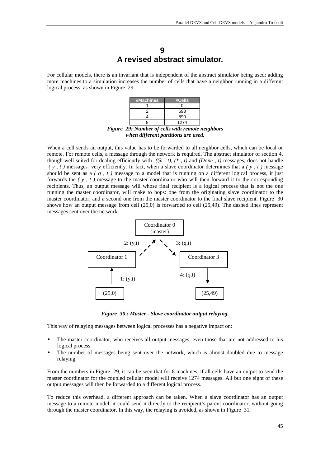# **9 A revised abstract simulator.**

For cellular models, there is an invariant that is independent of the abstract simulator being used: adding more machines to a simulation increases the number of cells that have a neighbor running in a different logical process, as shown in Figure 29.



*Figure 29: Number of cells with remote neighbors when different partitions are used.* 

When a cell sends an output, this value has to be forwarded to all neighbor cells, which can be local or remote. For remote cells, a message through the network is required. The abstract simulator of section 4, though well suited for dealing efficiently with *(@ , t)*, *(\* , t)* and *(Done , t)* messages, does not handle *( y , t )* messages very efficiently. In fact, when a slave coordinator determines that a *( y , t )* message should be sent as  $a \, (\,q \, , t \,)$  message to a model that is running on a different logical process, it just forwards the *( y , t )* message to the master coordinator who will then forward it to the corresponding recipients. Thus, an output message will whose final recipient is a logical process that is not the one running the master coordinator, will make to hops: one from the originating slave coordinator to the master coordinator, and a second one from the master coordinator to the final slave recipient. Figure 30 shows how an output message from cell (25,0) is forwarded to cell (25,49). The dashed lines represent messages sent over the network.



*Figure 30 : Master - Slave coordinator output relaying.* 

This way of relaying messages between logical processes has a negative impact on:

- The master coordinator, who receives all output messages, even those that are not addressed to his logical process.
- The number of messages being sent over the network, which is almost doubled due to message relaying.

From the numbers in Figure 29, it can be seen that for 8 machines, if all cells have an output to send the master coordinator for the coupled cellular model will receive 1274 messages. All but one eight of these output messages will then be forwarded to a different logical process.

To reduce this overhead, a different approach can be taken. When a slave coordinator has an output message to a remote model, it could send it directly to the recipient's parent coordinator, without going through the master coordinator. In this way, the relaying is avoided, as shown in Figure 31.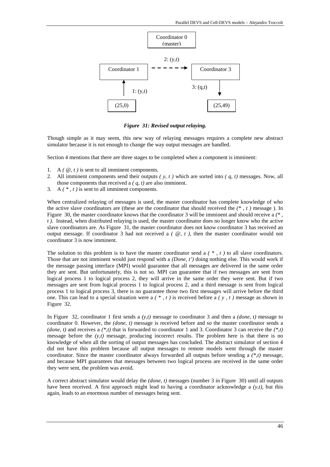

*Figure 31: Revised output relaying.* 

Though simple as it may seem, this new way of relaying messages requires a complete new abstract simulator because it is not enough to change the way output messages are handled.

Section 4 mentions that there are three stages to be completed when a component is imminent:

- 1. A  $(\mathcal{Q}, t)$  is sent to all imminent components.
- 2. All imminent components send their outputs *( y, t )* which are sorted into *( q, t)* messages. Now, all those components that received a *( q, t)* are also imminent.
- 3.  $A$   $(* , t)$  is sent to all imminent components.

When centralized relaying of messages is used, the master coordinator has complete knowledge of who the active slave coordinators are (these are the coordinator that should received the *(\* , t )* message ). In Figure 30, the master coordinator knows that the coordinator 3 will be imminent and should receive a  $(*)$ , *t ).* Instead, when distributed relaying is used, the master coordinator does no longer know who the active slave coordinators are. As Figure 31, the master coordinator does not know coordinator 3 has received an output message. If coordinator 3 had not received a *( @, t ),* then the master coordinator would not coordinator 3 is now imminent.

The solution to this problem is to have the master coordinator send a *( \* , t )* to all slave coordinators. Those that are not imminent would just respond with a *(Done, t')* doing nothing else. This would work if the message passing interface (MPI) would guarantee that all messages are delivered in the same order they are sent. But unfortunately, this is not so. MPI can guarantee that if two messages are sent from logical process 1 to logical process 2, they will arrive in the same order they were sent. But if two messages are sent from logical process 1 to logical process 2, and a third message is sent from logical process 1 to logical process 3, there is no guarantee those two first messages will arrive before the third one. This can lead to a special situation were a *( \* , t )* is received before a *( y , t )* message as shown in Figure 32.

In Figure 32, coordinator 1 first sends a *(y,t)* message to coordinator 3 and then a *(done, t)* message to coordinator 0. However, the *(done, t)* message is received before and so the master coordinator sends a *(done, t)* and receives a  $(*,t)$  that is forwarded to coordinator 1 and 3. Coordinator 3 can receive the  $(*,t)$ message before the  $(y,t)$  message, producing incorrect results. The problem here is that there is no knowledge of when all the sorting of output messages has concluded. The abstract simulator of section 4 did not have this problem because all output messages to remote models went through the master coordinator. Since the master coordinator always forwarded all outputs before sending a  $(*,t)$  message, and because MPI guarantees that messages between two logical process are received in the same order they were sent, the problem was avoid.

A correct abstract simulator would delay the *(done, t)* messages (number 3 in Figure 30) until all outputs have been received. A first approach might lead to having a coordinator acknowledge a  $(y,t)$ , but this again, leads to an enormous number of messages being sent.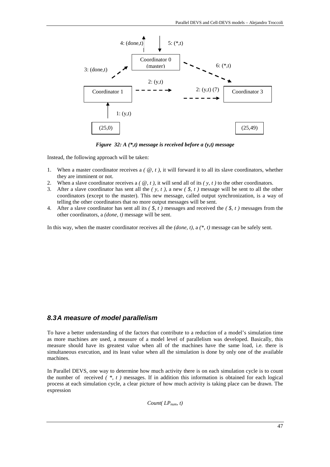

*Figure 32: A (\*,t) message is received before a (y,t) message* 

Instead, the following approach will be taken:

- 1. When a master coordinator receives a *( @, t )*, it will forward it to all its slave coordinators, whether they are imminent or not.
- 2. When a slave coordinator receives a  $( @, t)$ , it will send all of its  $(y, t)$  to the other coordinators.
- 3. After a slave coordinator has sent all the *( y, t )*, a new *( \$, t )* message will be sent to all the other coordinators (except to the master). This new message, called output synchronization, is a way of telling the other coordinators that no more output messages will be sent.
- 4. After a slave coordinator has sent all its *( \$, t )* messages and received the *( \$, t )* messages from the other coordinators, a *(done, t)* message will be sent.

In this way, when the master coordinator receives all the *(done, t)*, a *(\*, t)* message can be safely sent.

#### **8.3 A measure of model parallelism**

To have a better understanding of the factors that contribute to a reduction of a model's simulation time as more machines are used, a measure of a model level of parallelism was developed. Basically, this measure should have its greatest value when all of the machines have the same load, i.e. there is simultaneous execution, and its least value when all the simulation is done by only one of the available machines.

In Parallel DEVS, one way to determine how much activity there is on each simulation cycle is to count the number of received  $(*, t)$  messages. If in addition this information is obtained for each logical process at each simulation cycle, a clear picture of how much activity is taking place can be drawn. The expression

*Count( LPnum, t)*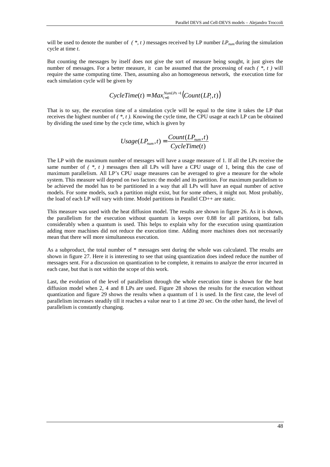will be used to denote the number of  $(*, t)$  messages received by LP number  $LP_{num}$  during the simulation cycle at time *t*.

But counting the messages by itself does not give the sort of measure being sought, it just gives the number of messages. For a better measure, it can be assumed that the processing of each *( \*, t )* will require the same computing time. Then, assuming also an homogeneous network, the execution time for each simulation cycle will be given by

$$
CycleTime(t) = Max_{i=0}^{NumLPs-1}(Count(LP_i, t))
$$

That is to say, the execution time of a simulation cycle will be equal to the time it takes the LP that receives the highest number of *( \*, t ).* Knowing the cycle time, the CPU usage at each LP can be obtained by dividing the used time by the cycle time, which is given by

$$
Usage(LP_{num}, t) = \frac{Count(LP_{num}, t)}{CycleTime(t)}
$$

The LP with the maximum number of messages will have a usage measure of 1. If all the LPs receive the same number of  $(*, t)$  messages then all LPs will have a CPU usage of 1, being this the case of maximum parallelism. All LP's CPU usage measures can be averaged to give a measure for the whole system. This measure will depend on two factors: the model and its partition. For maximum parallelism to be achieved the model has to be partitioned in a way that all LPs will have an equal number of active models. For some models, such a partition might exist, but for some others, it might not. Most probably, the load of each LP will vary with time. Model partitions in Parallel CD++ are static.

This measure was used with the heat diffusion model. The results are shown in figure 26. As it is shown, the parallelism for the execution without quantum is keeps over 0.88 for all partitions, but falls considerably when a quantum is used. This helps to explain why for the execution using quantization adding more machines did not reduce the execution time. Adding more machines does not necessarily mean that there will more simultaneous execution.

As a subproduct, the total number of \* messages sent during the whole was calculated. The results are shown in figure 27. Here it is interesting to see that using quantization does indeed reduce the number of messages sent. For a discussion on quantization to be complete, it remains to analyze the error incurred in each case, but that is not within the scope of this work.

Last, the evolution of the level of parallelism through the whole execution time is shown for the heat diffusion model when 2, 4 and 8 LPs are used. Figure 28 shows the results for the execution without quantization and figure 29 shows the results when a quantum of 1 is used. In the first case, the level of parallelism increases steadily till it reaches a value near to 1 at time 20 sec. On the other hand, the level of parallelism is constantly changing.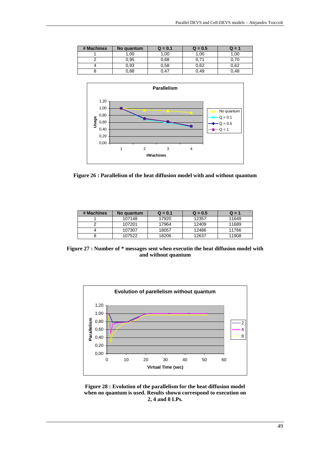| # Machines | No quantum | $Q = 0.1$ | $Q = 0.5$ | Q = 1 |
|------------|------------|-----------|-----------|-------|
|            | 00, ا      | 1,00      | 1,00      | 1.00  |
|            | 0.95       | 0.68      | 0.71      | 0.70  |
|            | 0.93       | 0,58      | 0,62      | 0.62  |
|            | 0.88       | 0.47      | 0.49      | 0.48  |





| # Machines | No quantum | $Q = 0.1$ | $Q = 0.5$ | $Q = 1$ |
|------------|------------|-----------|-----------|---------|
|            | 107148     | 17920     | 12357     | 11649   |
|            | 107201     | 17964     | 12409     | 11689   |
|            | 107307     | 18057     | 12486     | 11766   |
|            | 107522     | 18206     | 12637     | 11908   |

**Figure 27 : Number of \* messages sent when executin the heat diffusion model with and without quantum** 



**Figure 28 : Evolution of the parallelism for the heat diffusion model when no quantum is used. Results shown correspond to execution on 2, 4 and 8 LPs.**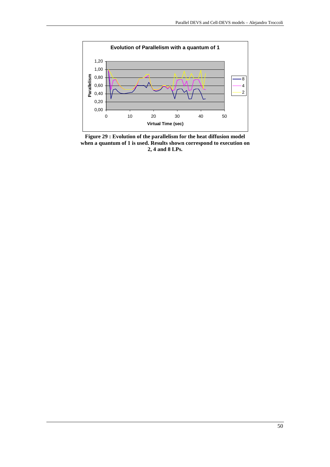

**Figure 29 : Evolution of the parallelism for the heat diffusion model when a quantum of 1 is used. Results shown correspond to execution on 2, 4 and 8 LPs.**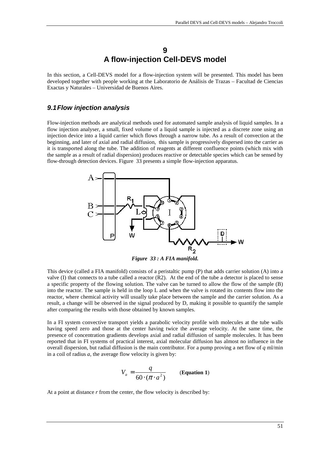# **9 A flow-injection Cell-DEVS model**

In this section, a Cell-DEVS model for a flow-injection system will be presented. This model has been developed together with people working at the Laboratorio de Análisis de Trazas – Facultad de Ciencias Exactas y Naturales – Universidad de Buenos Aires.

## **9.1 Flow injection analysis**

Flow-injection methods are analytical methods used for automated sample analysis of liquid samples. In a flow injection analyser, a small, fixed volume of a liquid sample is injected as a discrete zone using an injection device into a liquid carrier which flows through a narrow tube. As a result of convection at the beginning, and later of axial and radial diffusion, this sample is progressively dispersed into the carrier as it is transported along the tube. The addition of reagents at different confluence points (which mix with the sample as a result of radial dispersion) produces reactive or detectable species which can be sensed by flow-through detection devices. Figure 33 presents a simple flow-injection apparatus.



*Figure 33 : A FIA manifold.*

This device (called a FIA manifold) consists of a peristaltic pump (P) that adds carrier solution (A) into a valve (I) that connects to a tube called a reactor (R2). At the end of the tube a detector is placed to sense a specific property of the flowing solution. The valve can be turned to allow the flow of the sample (B) into the reactor. The sample is held in the loop L and when the valve is rotated its contents flow into the reactor, where chemical activity will usually take place between the sample and the carrier solution. As a result, a change will be observed in the signal produced by D, making it possible to quantify the sample after comparing the results with those obtained by known samples.

In a FI system convective transport yields a parabolic velocity profile with molecules at the tube walls having speed zero and those at the center having twice the average velocity. At the same time, the presence of concentration gradients develops axial and radial diffusion of sample molecules. It has been reported that in FI systems of practical interest, axial molecular diffusion has almost no influence in the overall dispersion, but radial diffusion is the main contributor. For a pump proving a net flow of *q* ml/min in a coil of radius *a*, the average flow velocity is given by:

$$
V_a = \frac{q}{60 \cdot (\pi \cdot a^2)} \qquad \text{(Equation 1)}
$$

At a point at distance *r* from the center, the flow velocity is described by: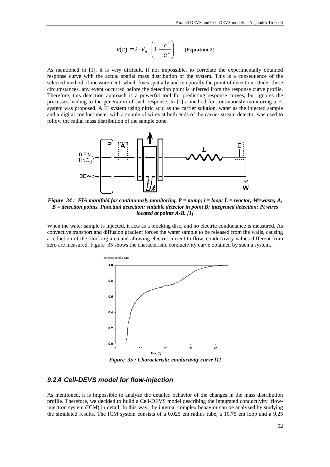$$
v(r) = 2 \cdot V_a \cdot \left(1 - \frac{r^2}{a^2}\right)
$$
 (Equation 2)

As mentioned in [1], it is very difficult, if not impossible, to correlate the experimentally obtained response curve with the actual spatial mass distribution of the system. This is a consequence of the selected method of measurement, which fixes spatially and temporally the point of detection. Under these circumstances, any event occurred before the detection point is inferred from the response curve profile. Therefore, this detection approach is a powerful tool for predicting response curves, but ignores the processes leading to the generation of such response. In [1] a method for continuously monitoring a FI system was proposed. A FI system using nitric acid as the carrier solution, water as the injected sample and a digital conductimeter with a couple of wires at both ends of the carrier stream detector was used to follow the radial mass distribution of the sample zone.



*Figure 34 : FIA manifold for continuously monitoring. P = pump; l = loop; L = reactor; W=waste; A, B = detection points. Punctual detection: suitable detector in point B; integrated detection: Pt wires located at points A-B. [1]*

When the water sample is injected, it acts as a blocking disc, and no electric conductance is measured. As convective transport and diffusion gradient forces the water sample to be released from the walls, causing a reduction of the blocking area and allowing electric current to flow, conductivity values different from zero are measured. Figure 35 shows the characteristic conductivity curve obtained by such a system.



*Figure 35 : Characteristic conductivity curve [1]*

## **9.2 A Cell-DEVS model for flow-injection**

As mentioned, it is impossible to analyze the detailed behavior of the changes in the mass distribution profile. Therefore, we decided to build a Cell-DEVS model describing the integrated conductivity flowinjection system (ICM) in detail. In this way, the internal complex behavior can be analyzed by studying the simulated results. The ICM system consists of a 0.025 cm radius tube, a 10.75 cm loop and a 9,25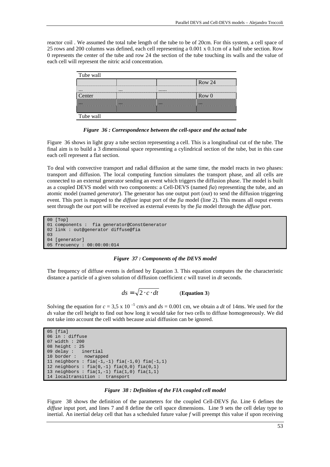reactor coil . We assumed the total tube length of the tube to be of 20cm. For this system, a cell space of 25 rows and 200 columns was defined, each cell representing a 0.001 x 0.1cm of a half tube section. Row 0 represents the center of the tube and row 24 the section of the tube touching its walls and the value of each cell will represent the nitric acid concentration.

| Tube wall               |                         |                               |                         |
|-------------------------|-------------------------|-------------------------------|-------------------------|
|                         |                         |                               | Row 24                  |
| $\bullet\bullet\bullet$ | $\bullet\bullet\bullet$ |                               |                         |
|                         |                         |                               |                         |
| $\bullet\bullet\bullet$ | $\bullet\bullet\bullet$ | $\bullet$ $\bullet$ $\bullet$ | $\bullet\bullet\bullet$ |
|                         |                         |                               |                         |
| Tube wall               |                         |                               |                         |

*Figure 36 : Correspondence between the cell-space and the actual tube*

Figure 36 shows in light gray a tube section representing a cell. This is a longitudinal cut of the tube. The final aim is to build a 3 dimensional space representing a cylindrical section of the tube, but in this case each cell represent a flat section.

To deal with convective transport and radial diffusion at the same time, the model reacts in two phases: transport and diffusion. The local computing function simulates the transport phase, and all cells are connected to an external generator sending an event which triggers the diffusion phase. The model is built as a coupled DEVS model with two components: a Cell-DEVS (named *fia*) representing the tube, and an atomic model (named *generator*). The generator has one output port (*out*) to send the diffusion triggering event. This port is mapped to the *diffuse* input port of the *fia* model (line 2). This means all ouput events sent through the *out* port will be received as external events by the *fia* model through the *diffuse* port.

```
00 [Top] 
01 components : fia generator@ConstGenerator 
02 link : out@generator diffuse@fia 
03 
  [generator]
05 frecuency : 00:00:00:014
```
#### *Figure 37 : Components of the DEVS model*

The frequency of diffuse events is defined by Equation 3. This equation computes the the characteristic distance a particle of a given solution of diffusion coefficient *c* will travel in *dt* seconds.

$$
ds = \sqrt{2 \cdot c \cdot dt}
$$
 (Equation 3)

Solving the equation for  $c = 3.5 \times 10^{-5}$  cm/s and  $ds = 0.001$  cm, we obtain a *dt* of 14ms. We used for the *ds* value the cell height to find out how long it would take for two cells to diffuse homogeneously. We did not take into account the cell width because axial diffusion can be ignored.

```
05 [fia] 
06 in : diffuse 
07 width : 200 
08 height : 25 
09 delay : inertial 
10 border : nowrapped 
11 neighbors : fia(-1,-1) fia(-1,0) fia(-1,1)
12 neighbors : fia(0,-1) fia(0,0) fia(0,1) 
13 neighbors : fia(1,-1) fia(1,0) fia(1,1) 
14 localtransition : transport
```
#### *Figure 38 : Definition of the FIA coupled cell model*

Figure 38 shows the definition of the parameters for the coupled Cell-DEVS *fia*. Line 6 defines the *diffuse* input port, and lines 7 and 8 define the cell space dimensions. Line 9 sets the cell delay type to inertial. An inertial delay cell that has a scheduled future value *f* will preempt this value if upon receiving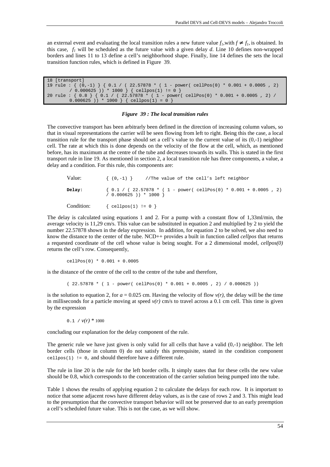an external event and evaluating the local transition rules a new future value  $f_i$ , with  $f \neq f_j$ , is obtained. In this case, *f<sup>1</sup>* will be scheduled as the future value with a given delay *d*. Line 10 defines non-wrapped borders and lines 11 to 13 define a cell's neighborhood shape. Finally, line 14 defines the sets the local transition function rules, which is defined in Figure 39.

```
18 [transport] 
19 rule : \{(0,-1)\}\{0.1 / (22.57878 * (1 - power(cellsPos(0) * 0.001 + 0.0005 , 2)\})\} / 0.000625 )) * 1000 } { cellpos(1) != 0 } 
20 rule : { 0.8 } { 0.1 / ( 22.57878 * ( 1 - power( cellPos(0) * 0.001 + 0.0005 , 2) / 
       0.000625 )) * 1000 } { cellpos(1) = 0 }
```
#### *Figure 39 : The local transition rules*

The convective transport has been arbitrarly been defined in the direction of increasing column values, so that in visual representations the carrier will be seen flowing from left to right. Being this the case, a local transition rule for the transport phase should set a cell's value to the current value of its (0,-1) neighbor cell. The rate at which this is done depends on the velocity of the flow at the cell, which, as mentioned before, has its maximum at the centre of the tube and decreases towards its walls. This is stated in the first transport rule in line 19. As mentioned in section 2, a local transition rule has three components, a value, a delay and a condition. For this rule, this components are:

| Value: | $\{(0,-1)\}\$ /The value of the cell's left neighbor                                         |
|--------|----------------------------------------------------------------------------------------------|
| Delay: | $\{ 0.1 / (22.57878 * (1 - power(cellsPos(0) * 0.001 + 0.0005 , 2)$<br>$(0.000625)$ $* 1000$ |
|        | Condition: { $celpos(1) := 0$ }                                                              |

The delay is calculated using equations 1 and 2. For a pump with a constant flow of 1,33ml/min, the average velocity is 11,29 cm/s. This value can be substituted in equation 2 and multiplied by 2 to yield the number 22.57878 shown in the delay expression. In addition, for equation 2 to be solved, we also need to know the distance to the center of the tube. NCD++ provides a built in function called *cellpos* that returns a requested coordinate of the cell whose value is being sought. For a 2 dimensional model, *cellpos(0)* returns the cell's row. Consequently,

cellPos(0) \* 0.001 + 0.0005

is the distance of the centre of the cell to the centre of the tube and therefore,

```
(22.57878 * (1 - power(cellsPos(0) * 0.001 + 0.0005 , 2) / 0.000625))
```
is the solution to equation 2, for  $a = 0.025$  cm. Having the velocity of flow  $v(r)$ , the delay will be the time in milliseconds for a particle moving at speed  $v(r)$  cm/s to travel across a 0.1 cm cell. This time is given by the expression

0.1 /  $v(r)$  \* 1000

concluding our explanation for the delay component of the rule.

The generic rule we have just given is only valid for all cells that have a valid (0,-1) neighbor. The left border cells (those in column 0) do not satisfy this prerequisite, stated in the condition component  $cellpos(1) != 0$ , and should therefore have a different rule.

The rule in line 20 is the rule for the left border cells. It simply states that for these cells the new value should be 0.8, which corresponds to the concentration of the carrier solution being pumped into the tube.

Table 1 shows the results of applying equation 2 to calculate the delays for each row. It is important to notice that some adjacent rows have different delay values, as is the case of rows 2 and 3. This might lead to the presumption that the convective transport behavior will not be preserved due to an early preemption a cell's scheduled future value. This is not the case, as we will show.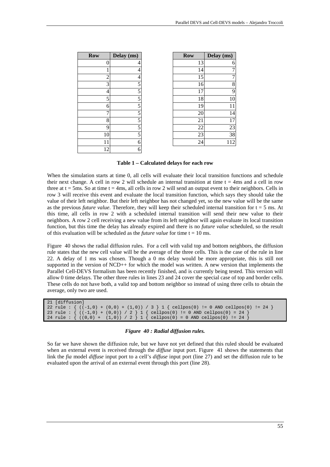| <b>Row</b> | Delay (ms) | <b>Row</b> | Delay (ms) |
|------------|------------|------------|------------|
|            | 4          | 13         | h          |
|            | 4          | 14         |            |
| ◠          | 4          | 15         |            |
| 3          | 5          | 16         | 8          |
| 4          | 5          | 17         | 9          |
| 5          | 5          | 18         | 10         |
| 6          | 5          | 19         |            |
| ┍          | 5          | 20         | 14         |
| 8          | 5          | 21         | 17         |
| Q          | 5          | 22         | 23         |
| 10         | 5          | 23         | 38         |
| 11         | 6          | 24         | 112        |
| 12         | 6          |            |            |

**Table 1 – Calculated delays for each row** 

When the simulation starts at time 0, all cells will evaluate their local transition functions and schedule their next change. A cell in row 2 will schedule an internal transition at time  $t = 4$ ms and a cell in row three at  $t = 5$ ms. So at time  $t = 4$ ms, all cells in row 2 will send an output event to their neighbors. Cells in row 3 will receive this event and evaluate the local transition function, which says they should take the value of their left neighbor. But their left neighbor has not changed yet, so the new value will be the same as the previous *future value*. Therefore, they will keep their scheduled internal transition for t = 5 ms. At this time, all cells in row 2 with a scheduled internal transition will send their new value to their neighbors. A row 2 cell receiving a new value from its left neighbor will again evaluate its local transition function, but this time the delay has already expired and there is no *future value* scheduled, so the result of this evaluation will be scheduled as the *future value* for time  $t = 10$  ms.

Figure 40 shows the radial diffusion rules. For a cell with valid top and bottom neighbors, the diffusion rule states that the new cell value will be the average of the three cells. This is the case of the rule in line 22. A delay of 1 ms was chosen. Though a 0 ms delay would be more appropriate, this is still not supported in the version of NCD++ for which the model was written. A new version that implements the Parallel Cell-DEVS formalism has been recently finished, and is currently being tested. This version will allow 0 time delays. The other three rules in lines 23 and 24 cover the special case of top and border cells. These cells do not have both, a valid top and bottom neighbor so instead of using three cells to obtain the average, only two are used.

| 21 [diffusion]                                                                        |
|---------------------------------------------------------------------------------------|
| 22 rule : { $((-1,0) + (0,0) + (1,0)) / 3$ } 1 { cellpos(0) != 0 AND cellpos(0) != 24 |
| 23 rule : { $((-1,0) + (0,0)) / 2$ } 1 { cellpos(0) != 0 AND cellpos(0) = 24 }        |
| 24 rule : { $((0,0) + (1,0)) / 2$ } 1 { cellpos(0) = 0 AND cellpos(0) != 24 }         |

#### *Figure 40 : Radial diffusion rules.*

So far we have shown the diffusion rule, but we have not yet defined that this ruled should be evaluated when an external event is received through the *diffuse* input port. Figure 41 shows the statements that link the *fia* model *diffuse* input port to a cell's *diffuse* input port (line 27) and set the diffusion rule to be evaluated upon the arrival of an external event through this port (line 28).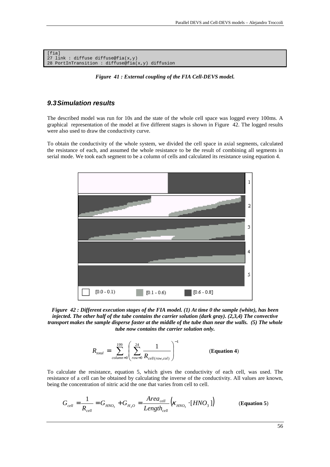| [fia] |  |  |                                                   |  |
|-------|--|--|---------------------------------------------------|--|
|       |  |  | 27 link: diffuse diffuse@fia(x,y)                 |  |
|       |  |  | 28 PortInTransition: $diffuse@fia(x,y)$ diffusion |  |

*Figure 41 : External coupling of the FIA Cell-DEVS model.*

## **9.3 Simulation results**

The described model was run for 10s and the state of the whole cell space was logged every 100ms. A graphical representation of the model at five different stages is shown in Figure 42. The logged results were also used to draw the conductivity curve.

To obtain the conductivity of the whole system, we divided the cell space in axial segments, calculated the resistance of each, and assumed the whole resistance to be the result of combining all segments in serial mode. We took each segment to be a column of cells and calculated its resistance using equation 4.





$$
R_{total} = \sum_{column=0}^{199} \left( \sum_{row=0}^{24} \frac{1}{R_{cell(row,col)}} \right)^{-1}
$$
 (Equation 4)

To calculate the resistance, equation 5, which gives the conductivity of each cell, was used. The resistance of a cell can be obtained by calculating the inverse of the conductivity. All values are known, being the concentration of nitric acid the one that varies from cell to cell.

$$
G_{cell} = \frac{1}{R_{cell}} = G_{HNO_3} + G_{H_2O} = \frac{Area_{cell}}{Length_{cell}} \left(\kappa_{HNO_3} \cdot [HNO_3] \right)
$$
 (Equation 5)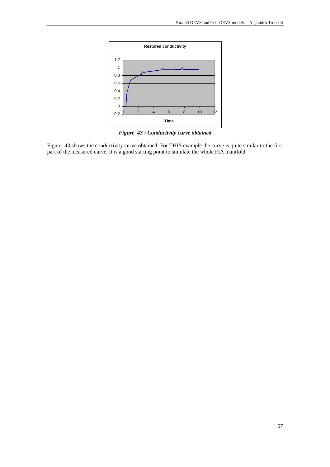

*Figure 43 : Conductivity curve obtained* 

Figure 43 shows the conductivity curve obtained. For THIS example the curve is quite similar to the first part of the measured curve. It is a good starting point to simulate the whole FIA manifold.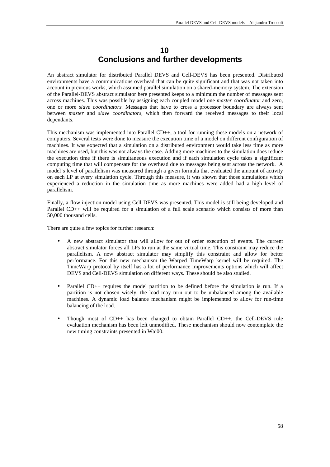# **10 Conclusions and further developments**

An abstract simulator for distributed Parallel DEVS and Cell-DEVS has been presented. Distributed environments have a communications overhead that can be quite significant and that was not taken into account in previous works, which assumed parallel simulation on a shared-memory system. The extension of the Parallel-DEVS abstract simulator here presented keeps to a minimum the number of messages sent across machines. This was possible by assigning each coupled model one *master coordinator* and zero, one or more *slave coordinators.* Messages that have to cross a processor boundary are always sent between *master* and *slave coordinators,* which then forward the received messages to their local dependants.

This mechanism was implemented into Parallel CD++, a tool for running these models on a network of computers. Several tests were done to measure the execution time of a model on different configuration of machines. It was expected that a simulation on a distributed environment would take less time as more machines are used, but this was not always the case. Adding more machines to the simulation does reduce the execution time if there is simultaneous execution and if each simulation cycle takes a significant computing time that will compensate for the overhead due to messages being sent across the network. A model's level of parallelism was measured through a given formula that evaluated the amount of activity on each LP at every simulation cycle. Through this measure, it was shown that those simulations which experienced a reduction in the simulation time as more machines were added had a high level of parallelism.

Finally, a flow injection model using Cell-DEVS was presented. This model is still being developed and Parallel CD++ will be required for a simulation of a full scale scenario which consists of more than 50,000 thousand cells.

There are quite a few topics for further research:

- A new abstract simulator that will allow for out of order execution of events. The current abstract simulator forces all LPs to run at the same virtual time. This constraint may reduce the parallelism. A new abstract simulator may simplify this constraint and allow for better performance. For this new mechanism the Warped TimeWarp kernel will be required. The TimeWarp protocol by itself has a lot of performance improvements options which will affect DEVS and Cell-DEVS simulation on different ways. These should be also studied.
- Parallel CD++ requires the model partition to be defined before the simulation is run. If a partition is not chosen wisely, the load may turn out to be unbalanced among the available machines. A dynamic load balance mechanism might be implemented to allow for run-time balancing of the load.
- Though most of CD++ has been changed to obtain Parallel CD++, the Cell-DEVS rule evaluation mechanism has been left unmodified. These mechanism should now contemplate the new timing constraints presented in Wai00.